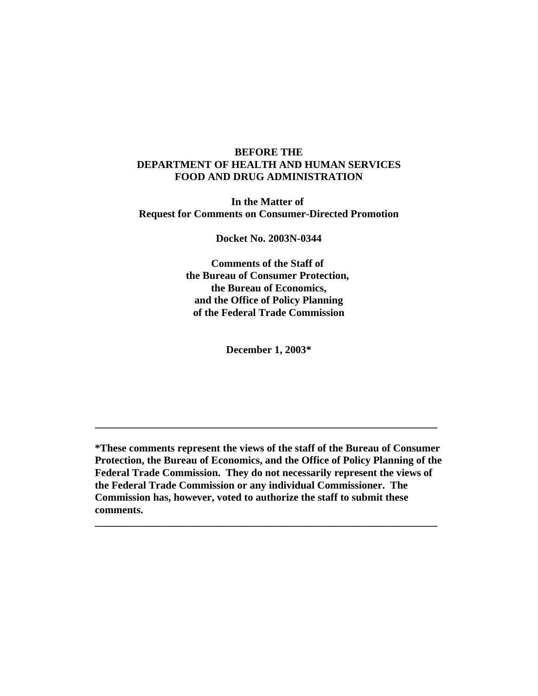# **BEFORE THE DEPARTMENT OF HEALTH AND HUMAN SERVICES FOOD AND DRUG ADMINISTRATION**

**In the Matter of Request for Comments on Consumer-Directed Promotion**

**Docket No. 2003N-0344**

**Comments of the Staff of the Bureau of Consumer Protection, the Bureau of Economics, and the Office of Policy Planning of the Federal Trade Commission**

**December 1, 2003\***

**\*These comments represent the views of the staff of the Bureau of Consumer Protection, the Bureau of Economics, and the Office of Policy Planning of the Federal Trade Commission. They do not necessarily represent the views of the Federal Trade Commission or any individual Commissioner. The Commission has, however, voted to authorize the staff to submit these comments.** 

**\_\_\_\_\_\_\_\_\_\_\_\_\_\_\_\_\_\_\_\_\_\_\_\_\_\_\_\_\_\_\_\_\_\_\_\_\_\_\_\_\_\_\_\_\_\_\_\_\_\_\_\_\_\_\_\_\_\_\_\_\_\_\_\_\_**

**\_\_\_\_\_\_\_\_\_\_\_\_\_\_\_\_\_\_\_\_\_\_\_\_\_\_\_\_\_\_\_\_\_\_\_\_\_\_\_\_\_\_\_\_\_\_\_\_\_\_\_\_\_\_\_\_\_\_\_\_\_\_\_\_\_**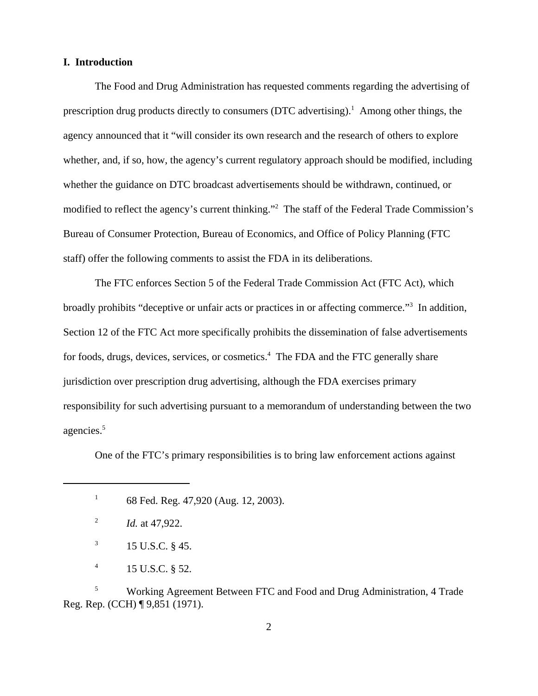### **I. Introduction**

The Food and Drug Administration has requested comments regarding the advertising of prescription drug products directly to consumers  $(DTC$  advertising).<sup>1</sup> Among other things, the agency announced that it "will consider its own research and the research of others to explore whether, and, if so, how, the agency's current regulatory approach should be modified, including whether the guidance on DTC broadcast advertisements should be withdrawn, continued, or modified to reflect the agency's current thinking."2 The staff of the Federal Trade Commission's Bureau of Consumer Protection, Bureau of Economics, and Office of Policy Planning (FTC staff) offer the following comments to assist the FDA in its deliberations.

The FTC enforces Section 5 of the Federal Trade Commission Act (FTC Act), which broadly prohibits "deceptive or unfair acts or practices in or affecting commerce."<sup>3</sup> In addition, Section 12 of the FTC Act more specifically prohibits the dissemination of false advertisements for foods, drugs, devices, services, or cosmetics.<sup>4</sup> The FDA and the FTC generally share jurisdiction over prescription drug advertising, although the FDA exercises primary responsibility for such advertising pursuant to a memorandum of understanding between the two agencies.5

One of the FTC's primary responsibilities is to bring law enforcement actions against

<sup>1</sup> 68 Fed. Reg. 47,920 (Aug. 12, 2003).

- $3 \t 15 \t U.S.C. \t § 45.$
- $^{4}$  15 U.S.C. § 52.

<sup>5</sup> Working Agreement Between FTC and Food and Drug Administration, 4 Trade Reg. Rep. (CCH) ¶ 9,851 (1971).

<sup>2</sup> *Id.* at 47,922.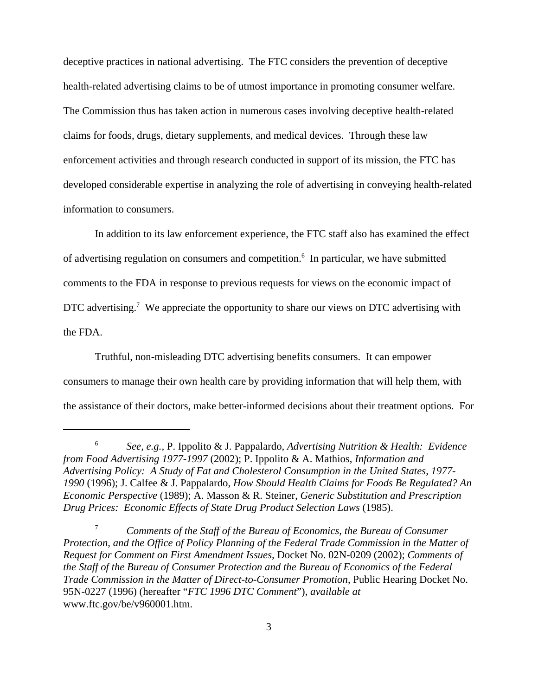deceptive practices in national advertising. The FTC considers the prevention of deceptive health-related advertising claims to be of utmost importance in promoting consumer welfare. The Commission thus has taken action in numerous cases involving deceptive health-related claims for foods, drugs, dietary supplements, and medical devices. Through these law enforcement activities and through research conducted in support of its mission, the FTC has developed considerable expertise in analyzing the role of advertising in conveying health-related information to consumers.

In addition to its law enforcement experience, the FTC staff also has examined the effect of advertising regulation on consumers and competition.<sup>6</sup> In particular, we have submitted comments to the FDA in response to previous requests for views on the economic impact of DTC advertising.<sup>7</sup> We appreciate the opportunity to share our views on DTC advertising with the FDA.

Truthful, non-misleading DTC advertising benefits consumers. It can empower consumers to manage their own health care by providing information that will help them, with the assistance of their doctors, make better-informed decisions about their treatment options. For

<sup>6</sup> *See, e.g.,* P. Ippolito & J. Pappalardo, *Advertising Nutrition & Health: Evidence from Food Advertising 1977-1997* (2002); P. Ippolito & A. Mathios, *Information and Advertising Policy: A Study of Fat and Cholesterol Consumption in the United States, 1977- 1990* (1996); J. Calfee & J. Pappalardo, *How Should Health Claims for Foods Be Regulated? An Economic Perspective* (1989); A. Masson & R. Steiner, *Generic Substitution and Prescription Drug Prices: Economic Effects of State Drug Product Selection Laws* (1985).

<sup>7</sup> *Comments of the Staff of the Bureau of Economics, the Bureau of Consumer Protection, and the Office of Policy Planning of the Federal Trade Commission in the Matter of Request for Comment on First Amendment Issues,* Docket No. 02N-0209 (2002); *Comments of the Staff of the Bureau of Consumer Protection and the Bureau of Economics of the Federal Trade Commission in the Matter of Direct-to-Consumer Promotion*, Public Hearing Docket No. 95N-0227 (1996) (hereafter "*FTC 1996 DTC Comment*"), *available at* www.ftc.gov/be/v960001.htm.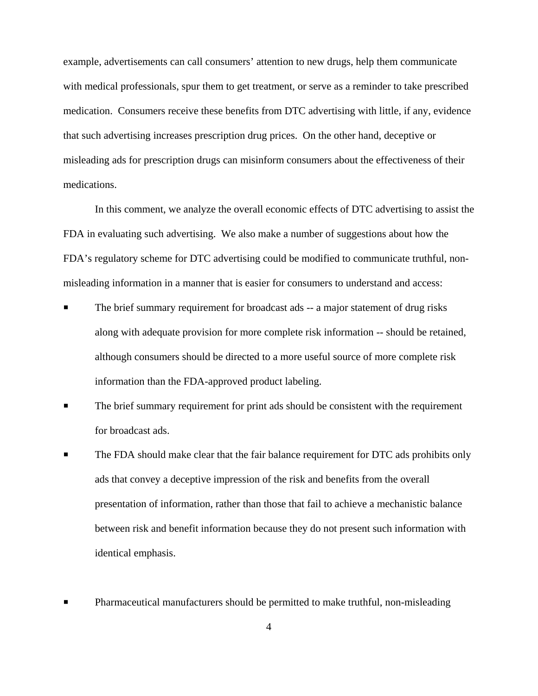example, advertisements can call consumers' attention to new drugs, help them communicate with medical professionals, spur them to get treatment, or serve as a reminder to take prescribed medication. Consumers receive these benefits from DTC advertising with little, if any, evidence that such advertising increases prescription drug prices. On the other hand, deceptive or misleading ads for prescription drugs can misinform consumers about the effectiveness of their medications.

In this comment, we analyze the overall economic effects of DTC advertising to assist the FDA in evaluating such advertising. We also make a number of suggestions about how the FDA's regulatory scheme for DTC advertising could be modified to communicate truthful, nonmisleading information in a manner that is easier for consumers to understand and access:

- The brief summary requirement for broadcast ads -- a major statement of drug risks along with adequate provision for more complete risk information -- should be retained, although consumers should be directed to a more useful source of more complete risk information than the FDA-approved product labeling.
- **Physical Example 3** The brief summary requirement for print ads should be consistent with the requirement for broadcast ads.
- The FDA should make clear that the fair balance requirement for DTC ads prohibits only ads that convey a deceptive impression of the risk and benefits from the overall presentation of information, rather than those that fail to achieve a mechanistic balance between risk and benefit information because they do not present such information with identical emphasis.
- Pharmaceutical manufacturers should be permitted to make truthful, non-misleading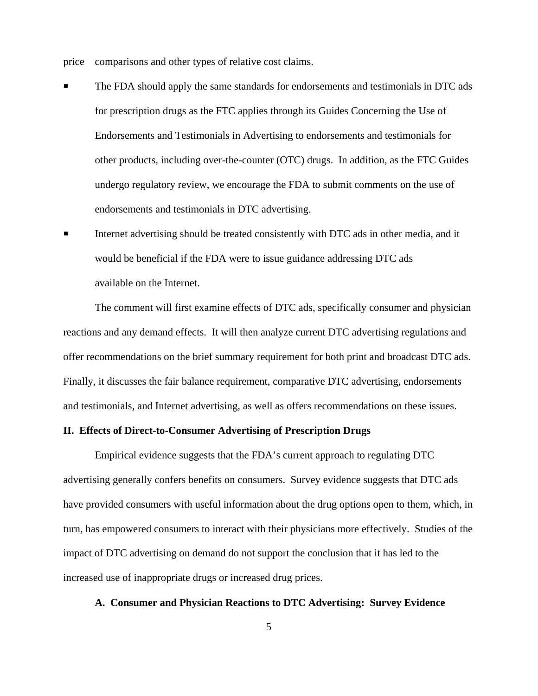price comparisons and other types of relative cost claims.

- The FDA should apply the same standards for endorsements and testimonials in DTC ads for prescription drugs as the FTC applies through its Guides Concerning the Use of Endorsements and Testimonials in Advertising to endorsements and testimonials for other products, including over-the-counter (OTC) drugs. In addition, as the FTC Guides undergo regulatory review, we encourage the FDA to submit comments on the use of endorsements and testimonials in DTC advertising.
- Internet advertising should be treated consistently with DTC ads in other media, and it would be beneficial if the FDA were to issue guidance addressing DTC ads available on the Internet.

The comment will first examine effects of DTC ads, specifically consumer and physician reactions and any demand effects. It will then analyze current DTC advertising regulations and offer recommendations on the brief summary requirement for both print and broadcast DTC ads. Finally, it discusses the fair balance requirement, comparative DTC advertising, endorsements and testimonials, and Internet advertising, as well as offers recommendations on these issues.

### **II. Effects of Direct-to-Consumer Advertising of Prescription Drugs**

Empirical evidence suggests that the FDA's current approach to regulating DTC advertising generally confers benefits on consumers. Survey evidence suggests that DTC ads have provided consumers with useful information about the drug options open to them, which, in turn, has empowered consumers to interact with their physicians more effectively. Studies of the impact of DTC advertising on demand do not support the conclusion that it has led to the increased use of inappropriate drugs or increased drug prices.

### **A. Consumer and Physician Reactions to DTC Advertising: Survey Evidence**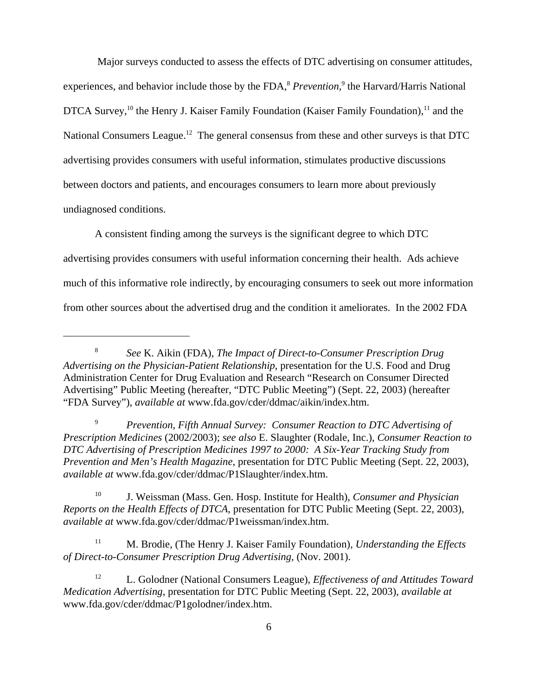Major surveys conducted to assess the effects of DTC advertising on consumer attitudes, experiences, and behavior include those by the FDA,<sup>8</sup> *Prevention*,<sup>9</sup> the Harvard/Harris National DTCA Survey,<sup>10</sup> the Henry J. Kaiser Family Foundation (Kaiser Family Foundation),<sup>11</sup> and the National Consumers League.<sup>12</sup> The general consensus from these and other surveys is that DTC advertising provides consumers with useful information, stimulates productive discussions between doctors and patients, and encourages consumers to learn more about previously undiagnosed conditions.

A consistent finding among the surveys is the significant degree to which DTC advertising provides consumers with useful information concerning their health. Ads achieve much of this informative role indirectly, by encouraging consumers to seek out more information from other sources about the advertised drug and the condition it ameliorates. In the 2002 FDA

<sup>8</sup> *See* K. Aikin (FDA), *The Impact of Direct-to-Consumer Prescription Drug Advertising on the Physician-Patient Relationship*, presentation for the U.S. Food and Drug Administration Center for Drug Evaluation and Research "Research on Consumer Directed Advertising" Public Meeting (hereafter, "DTC Public Meeting") (Sept. 22, 2003) (hereafter "FDA Survey"), *available at* www.fda.gov/cder/ddmac/aikin/index.htm.

<sup>9</sup> *Prevention*, *Fifth Annual Survey: Consumer Reaction to DTC Advertising of Prescription Medicines* (2002/2003); *see also* E. Slaughter (Rodale, Inc.), *Consumer Reaction to DTC Advertising of Prescription Medicines 1997 to 2000: A Six-Year Tracking Study from Prevention and Men's Health Magazine*, presentation for DTC Public Meeting (Sept. 22, 2003), *available at* www.fda.gov/cder/ddmac/P1Slaughter/index.htm.

<sup>10</sup> J. Weissman (Mass. Gen. Hosp. Institute for Health), *Consumer and Physician Reports on the Health Effects of DTCA*, presentation for DTC Public Meeting (Sept. 22, 2003), *available at* www.fda.gov/cder/ddmac/P1weissman/index.htm.

<sup>11</sup> M. Brodie, (The Henry J. Kaiser Family Foundation), *Understanding the Effects of Direct-to-Consumer Prescription Drug Advertising,* (Nov. 2001).

<sup>&</sup>lt;sup>12</sup> L. Golodner (National Consumers League), *Effectiveness of and Attitudes Toward Medication Advertising*, presentation for DTC Public Meeting (Sept. 22, 2003), *available at* www.fda.gov/cder/ddmac/P1golodner/index.htm.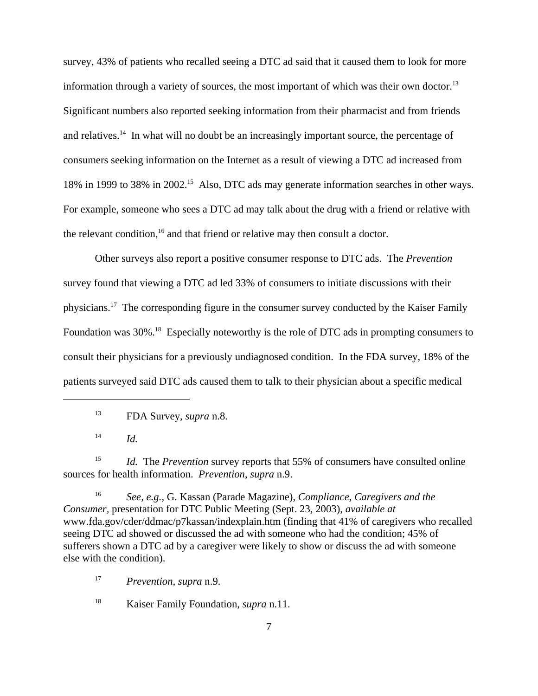survey, 43% of patients who recalled seeing a DTC ad said that it caused them to look for more information through a variety of sources, the most important of which was their own doctor.<sup>13</sup> Significant numbers also reported seeking information from their pharmacist and from friends and relatives.<sup>14</sup> In what will no doubt be an increasingly important source, the percentage of consumers seeking information on the Internet as a result of viewing a DTC ad increased from 18% in 1999 to 38% in 2002<sup>15</sup> Also, DTC ads may generate information searches in other ways. For example, someone who sees a DTC ad may talk about the drug with a friend or relative with the relevant condition, $16$  and that friend or relative may then consult a doctor.

Other surveys also report a positive consumer response to DTC ads. The *Prevention* survey found that viewing a DTC ad led 33% of consumers to initiate discussions with their physicians.17 The corresponding figure in the consumer survey conducted by the Kaiser Family Foundation was 30%.<sup>18</sup> Especially noteworthy is the role of DTC ads in prompting consumers to consult their physicians for a previously undiagnosed condition. In the FDA survey, 18% of the patients surveyed said DTC ads caused them to talk to their physician about a specific medical

<sup>14</sup> *Id.*

<sup>15</sup> *Id.* The *Prevention* survey reports that 55% of consumers have consulted online sources for health information. *Prevention*, *supra* n.9.

<sup>16</sup> *See, e.g.,* G. Kassan (Parade Magazine), *Compliance, Caregivers and the Consumer,* presentation for DTC Public Meeting (Sept. 23, 2003), *available at* www.fda.gov/cder/ddmac/p7kassan/indexplain.htm (finding that 41% of caregivers who recalled seeing DTC ad showed or discussed the ad with someone who had the condition; 45% of sufferers shown a DTC ad by a caregiver were likely to show or discuss the ad with someone else with the condition).

<sup>17</sup> *Prevention*, *supra* n.9.

<sup>18</sup> Kaiser Family Foundation, *supra* n.11.

<sup>13</sup> FDA Survey, *supra* n.8.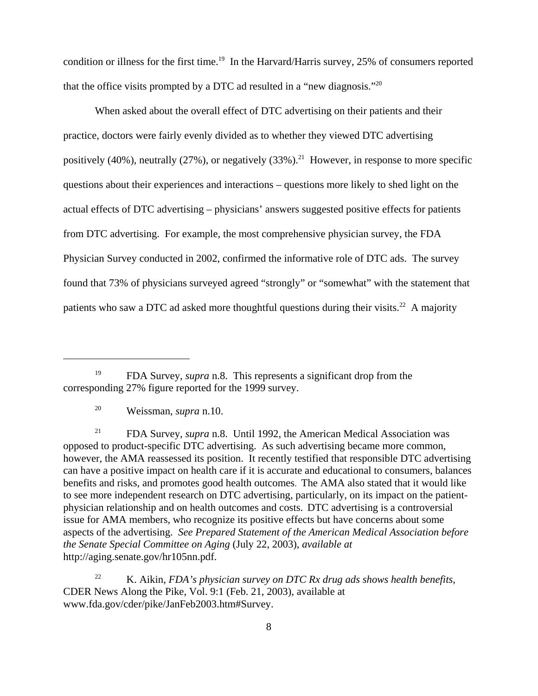condition or illness for the first time.<sup>19</sup> In the Harvard/Harris survey, 25% of consumers reported that the office visits prompted by a DTC ad resulted in a "new diagnosis."<sup>20</sup>

When asked about the overall effect of DTC advertising on their patients and their practice, doctors were fairly evenly divided as to whether they viewed DTC advertising positively (40%), neutrally (27%), or negatively (33%).<sup>21</sup> However, in response to more specific questions about their experiences and interactions – questions more likely to shed light on the actual effects of DTC advertising – physicians' answers suggested positive effects for patients from DTC advertising. For example, the most comprehensive physician survey, the FDA Physician Survey conducted in 2002, confirmed the informative role of DTC ads. The survey found that 73% of physicians surveyed agreed "strongly" or "somewhat" with the statement that patients who saw a DTC ad asked more thoughtful questions during their visits.<sup>22</sup> A majority

<sup>22</sup> K. Aikin, *FDA's physician survey on DTC Rx drug ads shows health benefits*, CDER News Along the Pike, Vol. 9:1 (Feb. 21, 2003), available at www.fda.gov/cder/pike/JanFeb2003.htm#Survey.

<sup>19</sup> FDA Survey, *supra* n.8. This represents a significant drop from the corresponding 27% figure reported for the 1999 survey.

<sup>20</sup> Weissman, *supra* n.10.

<sup>21</sup> FDA Survey, *supra* n.8. Until 1992, the American Medical Association was opposed to product-specific DTC advertising. As such advertising became more common, however, the AMA reassessed its position. It recently testified that responsible DTC advertising can have a positive impact on health care if it is accurate and educational to consumers, balances benefits and risks, and promotes good health outcomes. The AMA also stated that it would like to see more independent research on DTC advertising, particularly, on its impact on the patientphysician relationship and on health outcomes and costs. DTC advertising is a controversial issue for AMA members, who recognize its positive effects but have concerns about some aspects of the advertising. *See Prepared Statement of the American Medical Association before the Senate Special Committee on Aging* (July 22, 2003), *available at* http://aging.senate.gov/hr105nn.pdf.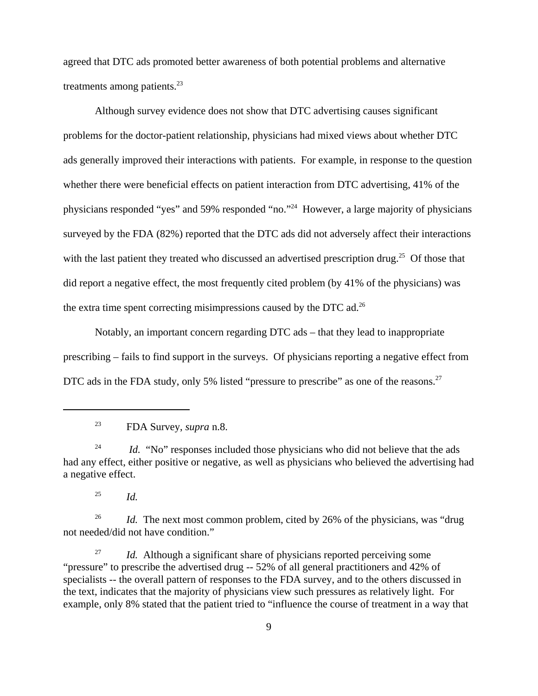agreed that DTC ads promoted better awareness of both potential problems and alternative treatments among patients. $^{23}$ 

Although survey evidence does not show that DTC advertising causes significant problems for the doctor-patient relationship, physicians had mixed views about whether DTC ads generally improved their interactions with patients. For example, in response to the question whether there were beneficial effects on patient interaction from DTC advertising, 41% of the physicians responded "yes" and 59% responded "no."24 However, a large majority of physicians surveyed by the FDA (82%) reported that the DTC ads did not adversely affect their interactions with the last patient they treated who discussed an advertised prescription drug.<sup>25</sup> Of those that did report a negative effect, the most frequently cited problem (by 41% of the physicians) was the extra time spent correcting misimpressions caused by the DTC ad.26

Notably, an important concern regarding DTC ads – that they lead to inappropriate prescribing – fails to find support in the surveys. Of physicians reporting a negative effect from DTC ads in the FDA study, only 5% listed "pressure to prescribe" as one of the reasons.<sup>27</sup>

 $^{25}$  *Id.* 

<sup>26</sup> *Id.* The next most common problem, cited by 26% of the physicians, was "drug" not needed/did not have condition."

<sup>27</sup> *Id.* Although a significant share of physicians reported perceiving some "pressure" to prescribe the advertised drug -- 52% of all general practitioners and 42% of specialists -- the overall pattern of responses to the FDA survey, and to the others discussed in the text, indicates that the majority of physicians view such pressures as relatively light. For example, only 8% stated that the patient tried to "influence the course of treatment in a way that

<sup>23</sup> FDA Survey, *supra* n.8.

<sup>&</sup>lt;sup>24</sup> *Id.* "No" responses included those physicians who did not believe that the ads had any effect, either positive or negative, as well as physicians who believed the advertising had a negative effect.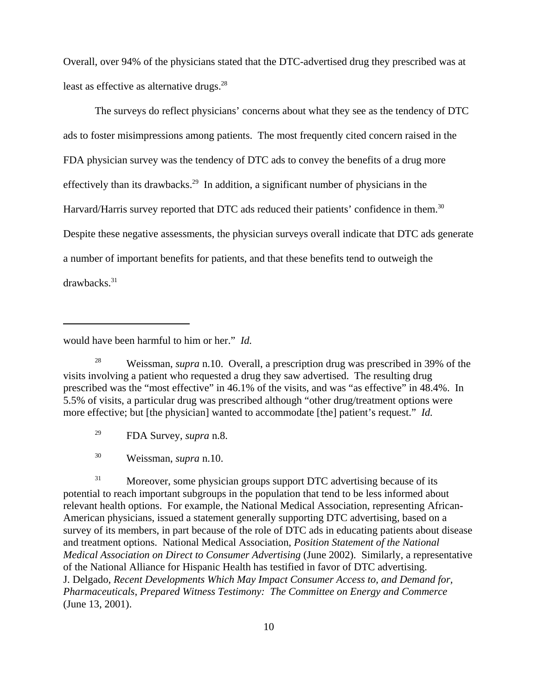Overall, over 94% of the physicians stated that the DTC-advertised drug they prescribed was at least as effective as alternative drugs.<sup>28</sup>

The surveys do reflect physicians' concerns about what they see as the tendency of DTC ads to foster misimpressions among patients. The most frequently cited concern raised in the FDA physician survey was the tendency of DTC ads to convey the benefits of a drug more effectively than its drawbacks.<sup>29</sup> In addition, a significant number of physicians in the Harvard/Harris survey reported that DTC ads reduced their patients' confidence in them.<sup>30</sup> Despite these negative assessments, the physician surveys overall indicate that DTC ads generate a number of important benefits for patients, and that these benefits tend to outweigh the drawbacks.<sup>31</sup>

would have been harmful to him or her." *Id.*

<sup>28</sup> Weissman, *supra* n.10. Overall, a prescription drug was prescribed in 39% of the visits involving a patient who requested a drug they saw advertised. The resulting drug prescribed was the "most effective" in 46.1% of the visits, and was "as effective" in 48.4%. In 5.5% of visits, a particular drug was prescribed although "other drug/treatment options were more effective; but [the physician] wanted to accommodate [the] patient's request." *Id.*

<sup>29</sup> FDA Survey, *supra* n.8.

<sup>30</sup> Weissman, *supra* n.10.

<sup>31</sup> Moreover, some physician groups support DTC advertising because of its potential to reach important subgroups in the population that tend to be less informed about relevant health options. For example, the National Medical Association, representing African-American physicians, issued a statement generally supporting DTC advertising, based on a survey of its members, in part because of the role of DTC ads in educating patients about disease and treatment options. National Medical Association, *Position Statement of the National Medical Association on Direct to Consumer Advertising* (June 2002). Similarly, a representative of the National Alliance for Hispanic Health has testified in favor of DTC advertising. J. Delgado, *Recent Developments Which May Impact Consumer Access to, and Demand for, Pharmaceuticals*, *Prepared Witness Testimony: The Committee on Energy and Commerce* (June 13, 2001).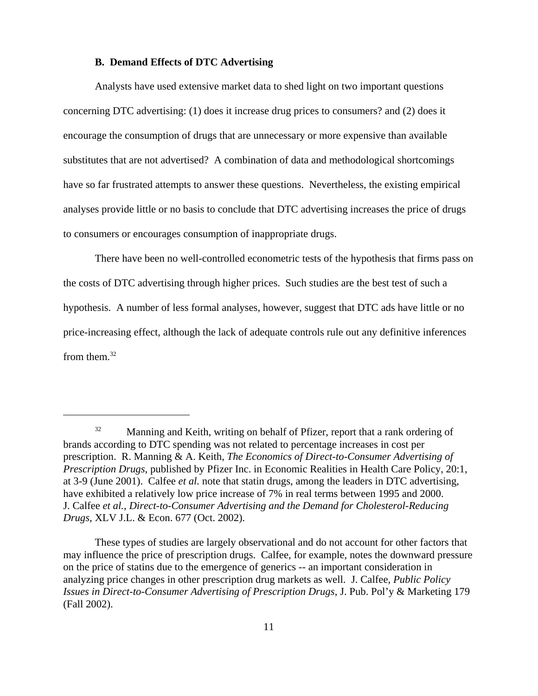### **B. Demand Effects of DTC Advertising**

Analysts have used extensive market data to shed light on two important questions concerning DTC advertising: (1) does it increase drug prices to consumers? and (2) does it encourage the consumption of drugs that are unnecessary or more expensive than available substitutes that are not advertised? A combination of data and methodological shortcomings have so far frustrated attempts to answer these questions. Nevertheless, the existing empirical analyses provide little or no basis to conclude that DTC advertising increases the price of drugs to consumers or encourages consumption of inappropriate drugs.

There have been no well-controlled econometric tests of the hypothesis that firms pass on the costs of DTC advertising through higher prices. Such studies are the best test of such a hypothesis. A number of less formal analyses, however, suggest that DTC ads have little or no price-increasing effect, although the lack of adequate controls rule out any definitive inferences from them. $32$ 

<sup>&</sup>lt;sup>32</sup> Manning and Keith, writing on behalf of Pfizer, report that a rank ordering of brands according to DTC spending was not related to percentage increases in cost per prescription. R. Manning & A. Keith, *The Economics of Direct-to-Consumer Advertising of Prescription Drugs*, published by Pfizer Inc. in Economic Realities in Health Care Policy, 20:1, at 3-9 (June 2001). Calfee *et al.* note that statin drugs, among the leaders in DTC advertising, have exhibited a relatively low price increase of 7% in real terms between 1995 and 2000. J. Calfee *et al.*, *Direct-to-Consumer Advertising and the Demand for Cholesterol-Reducing Drugs*, XLV J.L. & Econ. 677 (Oct. 2002).

These types of studies are largely observational and do not account for other factors that may influence the price of prescription drugs. Calfee, for example, notes the downward pressure on the price of statins due to the emergence of generics -- an important consideration in analyzing price changes in other prescription drug markets as well. J. Calfee, *Public Policy Issues in Direct-to-Consumer Advertising of Prescription Drugs*, J. Pub. Pol'y & Marketing 179 (Fall 2002).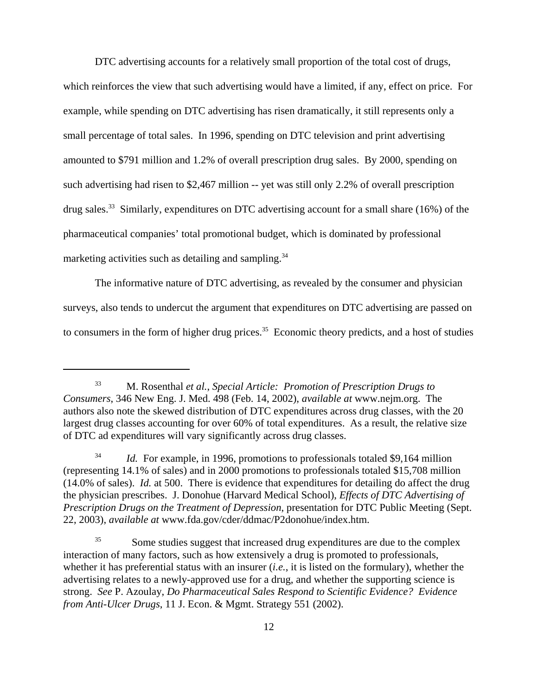DTC advertising accounts for a relatively small proportion of the total cost of drugs, which reinforces the view that such advertising would have a limited, if any, effect on price. For example, while spending on DTC advertising has risen dramatically, it still represents only a small percentage of total sales. In 1996, spending on DTC television and print advertising amounted to \$791 million and 1.2% of overall prescription drug sales. By 2000, spending on such advertising had risen to \$2,467 million -- yet was still only 2.2% of overall prescription drug sales.<sup>33</sup> Similarly, expenditures on DTC advertising account for a small share (16%) of the

pharmaceutical companies' total promotional budget, which is dominated by professional

marketing activities such as detailing and sampling. $34$ 

 The informative nature of DTC advertising, as revealed by the consumer and physician surveys, also tends to undercut the argument that expenditures on DTC advertising are passed on to consumers in the form of higher drug prices.<sup>35</sup> Economic theory predicts, and a host of studies

<sup>33</sup> M. Rosenthal *et al.*, *Special Article: Promotion of Prescription Drugs to Consumers*, 346 New Eng. J. Med. 498 (Feb. 14, 2002), *available at* www.nejm.org. The authors also note the skewed distribution of DTC expenditures across drug classes, with the 20 largest drug classes accounting for over 60% of total expenditures. As a result, the relative size of DTC ad expenditures will vary significantly across drug classes.

<sup>&</sup>lt;sup>34</sup> *Id.* For example, in 1996, promotions to professionals totaled \$9,164 million (representing 14.1% of sales) and in 2000 promotions to professionals totaled \$15,708 million (14.0% of sales). *Id.* at 500. There is evidence that expenditures for detailing do affect the drug the physician prescribes. J. Donohue (Harvard Medical School), *Effects of DTC Advertising of Prescription Drugs on the Treatment of Depression*, presentation for DTC Public Meeting (Sept. 22, 2003), *available at* www.fda.gov/cder/ddmac/P2donohue/index.htm.

<sup>&</sup>lt;sup>35</sup> Some studies suggest that increased drug expenditures are due to the complex interaction of many factors, such as how extensively a drug is promoted to professionals, whether it has preferential status with an insurer (*i.e.*, it is listed on the formulary), whether the advertising relates to a newly-approved use for a drug, and whether the supporting science is strong. *See* P. Azoulay, *Do Pharmaceutical Sales Respond to Scientific Evidence? Evidence from Anti-Ulcer Drugs*, 11 J. Econ. & Mgmt. Strategy 551 (2002).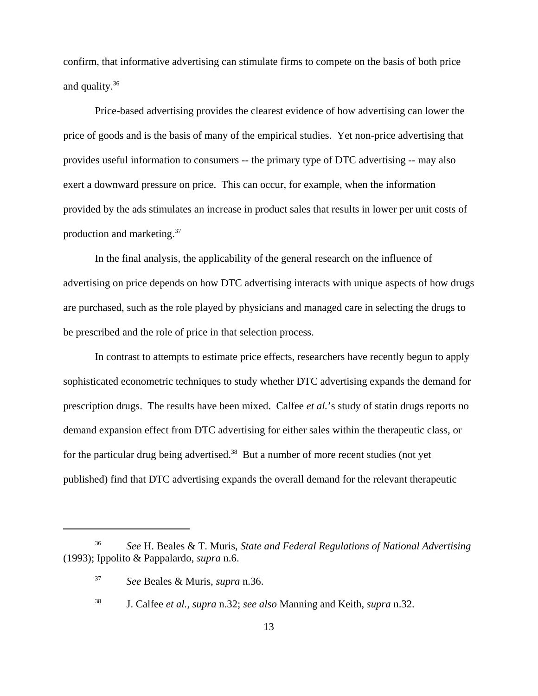confirm, that informative advertising can stimulate firms to compete on the basis of both price and quality.36

Price-based advertising provides the clearest evidence of how advertising can lower the price of goods and is the basis of many of the empirical studies. Yet non-price advertising that provides useful information to consumers -- the primary type of DTC advertising -- may also exert a downward pressure on price. This can occur, for example, when the information provided by the ads stimulates an increase in product sales that results in lower per unit costs of production and marketing.37

In the final analysis, the applicability of the general research on the influence of advertising on price depends on how DTC advertising interacts with unique aspects of how drugs are purchased, such as the role played by physicians and managed care in selecting the drugs to be prescribed and the role of price in that selection process.

In contrast to attempts to estimate price effects, researchers have recently begun to apply sophisticated econometric techniques to study whether DTC advertising expands the demand for prescription drugs. The results have been mixed. Calfee *et al.*'s study of statin drugs reports no demand expansion effect from DTC advertising for either sales within the therapeutic class, or for the particular drug being advertised.<sup>38</sup> But a number of more recent studies (not yet published) find that DTC advertising expands the overall demand for the relevant therapeutic

<sup>36</sup> *See* H. Beales & T. Muris, *State and Federal Regulations of National Advertising* (1993); Ippolito & Pappalardo, *supra* n.6.

<sup>37</sup> *See* Beales & Muris, *supra* n.36.

<sup>38</sup> J. Calfee *et al.*, *supra* n.32; *see also* Manning and Keith, *supra* n.32.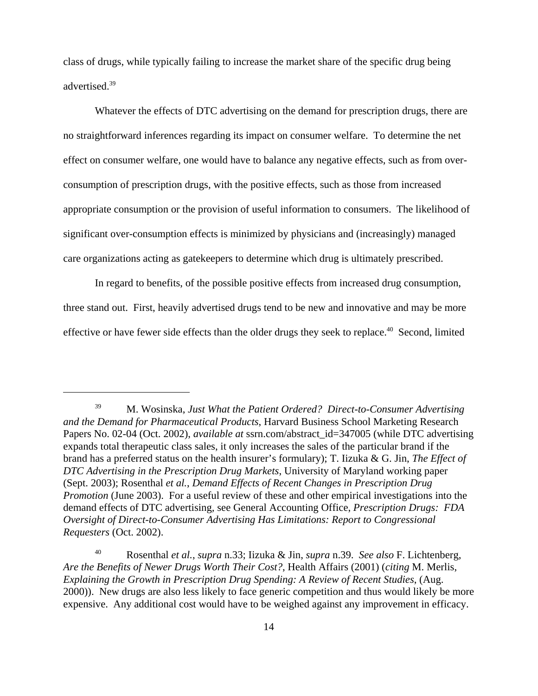class of drugs, while typically failing to increase the market share of the specific drug being advertised.39

Whatever the effects of DTC advertising on the demand for prescription drugs, there are no straightforward inferences regarding its impact on consumer welfare. To determine the net effect on consumer welfare, one would have to balance any negative effects, such as from overconsumption of prescription drugs, with the positive effects, such as those from increased appropriate consumption or the provision of useful information to consumers. The likelihood of significant over-consumption effects is minimized by physicians and (increasingly) managed care organizations acting as gatekeepers to determine which drug is ultimately prescribed.

In regard to benefits, of the possible positive effects from increased drug consumption, three stand out. First, heavily advertised drugs tend to be new and innovative and may be more effective or have fewer side effects than the older drugs they seek to replace.<sup>40</sup> Second, limited

<sup>39</sup> M. Wosinska, *Just What the Patient Ordered? Direct-to-Consumer Advertising and the Demand for Pharmaceutical Products*, Harvard Business School Marketing Research Papers No. 02-04 (Oct. 2002), *available at* ssrn.com/abstract\_id=347005 (while DTC advertising expands total therapeutic class sales, it only increases the sales of the particular brand if the brand has a preferred status on the health insurer's formulary); T. Iizuka & G. Jin, *The Effect of DTC Advertising in the Prescription Drug Markets*, University of Maryland working paper (Sept. 2003); Rosenthal *et al.*, *Demand Effects of Recent Changes in Prescription Drug Promotion* (June 2003). For a useful review of these and other empirical investigations into the demand effects of DTC advertising*,* see General Accounting Office, *Prescription Drugs: FDA Oversight of Direct-to-Consumer Advertising Has Limitations: Report to Congressional Requesters* (Oct. 2002).

<sup>40</sup> Rosenthal *et al.*, *supra* n.33; Iizuka & Jin, *supra* n.39. *See also* F. Lichtenberg, *Are the Benefits of Newer Drugs Worth Their Cost?*, Health Affairs (2001) (*citing* M. Merlis, *Explaining the Growth in Prescription Drug Spending: A Review of Recent Studies*, (Aug. 2000)). New drugs are also less likely to face generic competition and thus would likely be more expensive. Any additional cost would have to be weighed against any improvement in efficacy.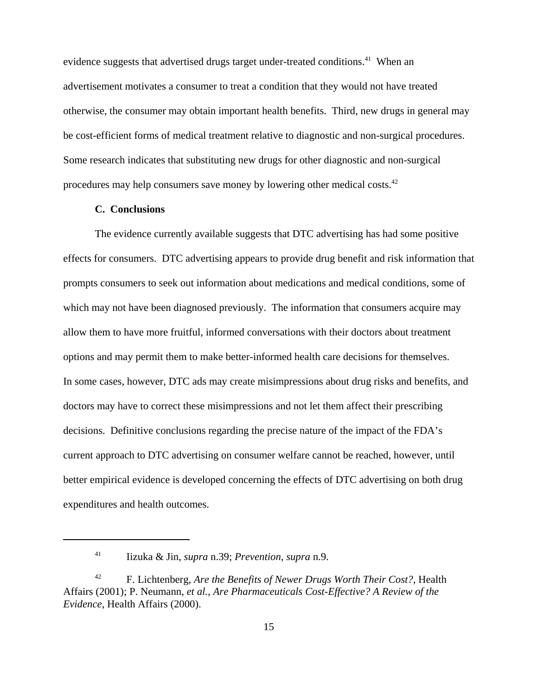evidence suggests that advertised drugs target under-treated conditions.<sup>41</sup> When an advertisement motivates a consumer to treat a condition that they would not have treated otherwise, the consumer may obtain important health benefits. Third, new drugs in general may be cost-efficient forms of medical treatment relative to diagnostic and non-surgical procedures. Some research indicates that substituting new drugs for other diagnostic and non-surgical procedures may help consumers save money by lowering other medical costs.42

### **C. Conclusions**

The evidence currently available suggests that DTC advertising has had some positive effects for consumers. DTC advertising appears to provide drug benefit and risk information that prompts consumers to seek out information about medications and medical conditions, some of which may not have been diagnosed previously. The information that consumers acquire may allow them to have more fruitful, informed conversations with their doctors about treatment options and may permit them to make better-informed health care decisions for themselves. In some cases, however, DTC ads may create misimpressions about drug risks and benefits, and doctors may have to correct these misimpressions and not let them affect their prescribing decisions. Definitive conclusions regarding the precise nature of the impact of the FDA's current approach to DTC advertising on consumer welfare cannot be reached, however, until better empirical evidence is developed concerning the effects of DTC advertising on both drug expenditures and health outcomes.

<sup>41</sup> Iizuka & Jin, *supra* n.39; *Prevention*, *supra* n.9.

<sup>42</sup> F. Lichtenberg, *Are the Benefits of Newer Drugs Worth Their Cost?*, Health Affairs (2001); P. Neumann, *et al.*, *Are Pharmaceuticals Cost-Effective? A Review of the Evidence*, Health Affairs (2000).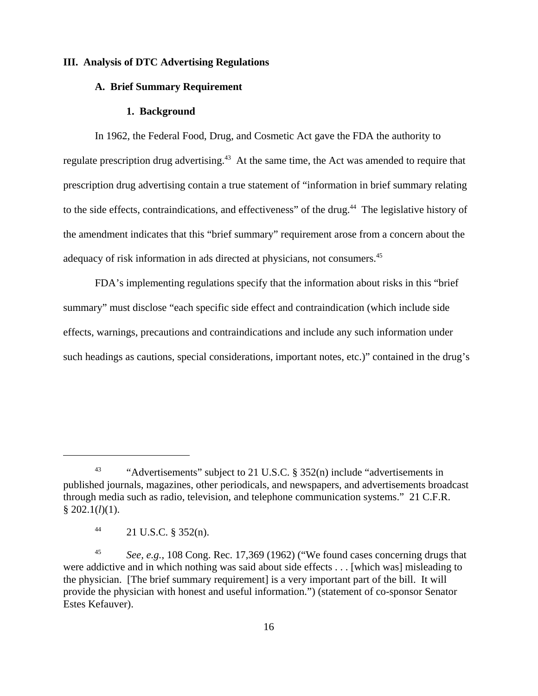### **III. Analysis of DTC Advertising Regulations**

# **A. Brief Summary Requirement**

#### **1. Background**

In 1962, the Federal Food, Drug, and Cosmetic Act gave the FDA the authority to regulate prescription drug advertising.<sup>43</sup> At the same time, the Act was amended to require that prescription drug advertising contain a true statement of "information in brief summary relating to the side effects, contraindications, and effectiveness" of the drug.<sup>44</sup> The legislative history of the amendment indicates that this "brief summary" requirement arose from a concern about the adequacy of risk information in ads directed at physicians, not consumers.45

FDA's implementing regulations specify that the information about risks in this "brief summary" must disclose "each specific side effect and contraindication (which include side effects, warnings, precautions and contraindications and include any such information under such headings as cautions, special considerations, important notes, etc.)" contained in the drug's

<sup>&</sup>lt;sup>43</sup> "Advertisements" subject to 21 U.S.C. § 352(n) include "advertisements in published journals, magazines, other periodicals, and newspapers, and advertisements broadcast through media such as radio, television, and telephone communication systems." 21 C.F.R. § 202.1(*l*)(1).

 $^{44}$  21 U.S.C. § 352(n).

<sup>45</sup> *See, e.g.*, 108 Cong. Rec. 17,369 (1962) ("We found cases concerning drugs that were addictive and in which nothing was said about side effects . . . [which was] misleading to the physician. [The brief summary requirement] is a very important part of the bill. It will provide the physician with honest and useful information.") (statement of co-sponsor Senator Estes Kefauver).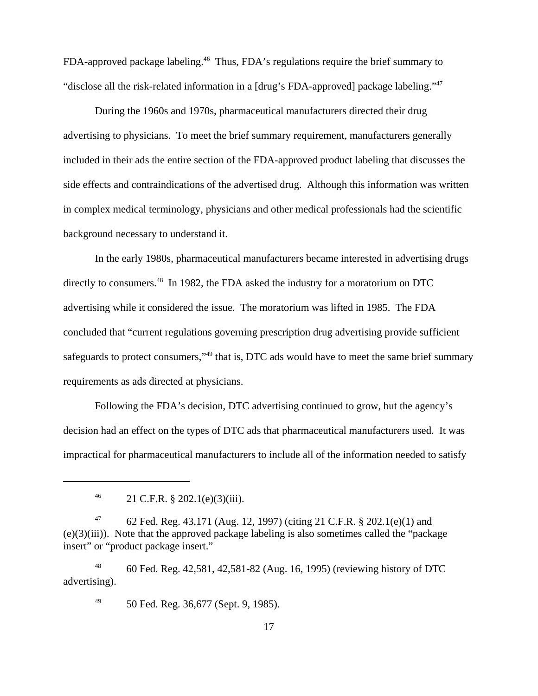FDA-approved package labeling.<sup>46</sup> Thus, FDA's regulations require the brief summary to "disclose all the risk-related information in a [drug's FDA-approved] package labeling."47

 During the 1960s and 1970s, pharmaceutical manufacturers directed their drug advertising to physicians. To meet the brief summary requirement, manufacturers generally included in their ads the entire section of the FDA-approved product labeling that discusses the side effects and contraindications of the advertised drug. Although this information was written in complex medical terminology, physicians and other medical professionals had the scientific background necessary to understand it.

In the early 1980s, pharmaceutical manufacturers became interested in advertising drugs directly to consumers.<sup>48</sup> In 1982, the FDA asked the industry for a moratorium on DTC advertising while it considered the issue. The moratorium was lifted in 1985. The FDA concluded that "current regulations governing prescription drug advertising provide sufficient safeguards to protect consumers,"<sup>49</sup> that is, DTC ads would have to meet the same brief summary requirements as ads directed at physicians.

Following the FDA's decision, DTC advertising continued to grow, but the agency's decision had an effect on the types of DTC ads that pharmaceutical manufacturers used. It was impractical for pharmaceutical manufacturers to include all of the information needed to satisfy

<sup>48</sup> 60 Fed. Reg. 42,581, 42,581-82 (Aug. 16, 1995) (reviewing history of DTC advertising).

<sup>49</sup> 50 Fed. Reg. 36,677 (Sept. 9, 1985).

<sup>&</sup>lt;sup>46</sup> 21 C.F.R. § 202.1(e)(3)(iii).

<sup>&</sup>lt;sup>47</sup> 62 Fed. Reg. 43,171 (Aug. 12, 1997) (citing 21 C.F.R. § 202.1(e)(1) and (e)(3)(iii)). Note that the approved package labeling is also sometimes called the "package insert" or "product package insert."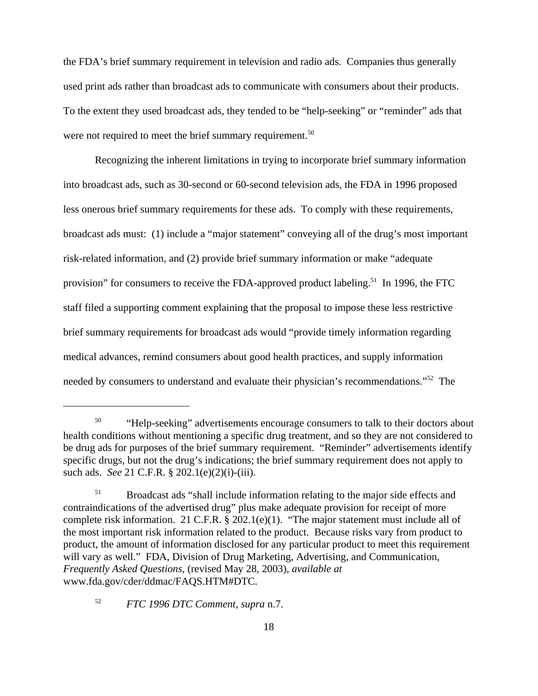the FDA's brief summary requirement in television and radio ads. Companies thus generally used print ads rather than broadcast ads to communicate with consumers about their products. To the extent they used broadcast ads, they tended to be "help-seeking" or "reminder" ads that were not required to meet the brief summary requirement.<sup>50</sup>

Recognizing the inherent limitations in trying to incorporate brief summary information into broadcast ads, such as 30-second or 60-second television ads, the FDA in 1996 proposed less onerous brief summary requirements for these ads. To comply with these requirements, broadcast ads must: (1) include a "major statement" conveying all of the drug's most important risk-related information, and (2) provide brief summary information or make "adequate provision" for consumers to receive the FDA-approved product labeling.<sup>51</sup> In 1996, the FTC staff filed a supporting comment explaining that the proposal to impose these less restrictive brief summary requirements for broadcast ads would "provide timely information regarding medical advances, remind consumers about good health practices, and supply information needed by consumers to understand and evaluate their physician's recommendations."52 The

<sup>52</sup> *FTC 1996 DTC Comment, supra* n.7.

<sup>&</sup>lt;sup>50</sup> "Help-seeking" advertisements encourage consumers to talk to their doctors about health conditions without mentioning a specific drug treatment, and so they are not considered to be drug ads for purposes of the brief summary requirement. "Reminder" advertisements identify specific drugs, but not the drug's indications; the brief summary requirement does not apply to such ads. *See* 21 C.F.R. § 202.1(e)(2)(i)-(iii).

<sup>&</sup>lt;sup>51</sup> Broadcast ads "shall include information relating to the major side effects and contraindications of the advertised drug" plus make adequate provision for receipt of more complete risk information. 21 C.F.R. § 202.1(e)(1). "The major statement must include all of the most important risk information related to the product. Because risks vary from product to product, the amount of information disclosed for any particular product to meet this requirement will vary as well." FDA, Division of Drug Marketing, Advertising, and Communication, *Frequently Asked Questions,* (revised May 28, 2003), *available at* www.fda.gov/cder/ddmac/FAQS.HTM#DTC.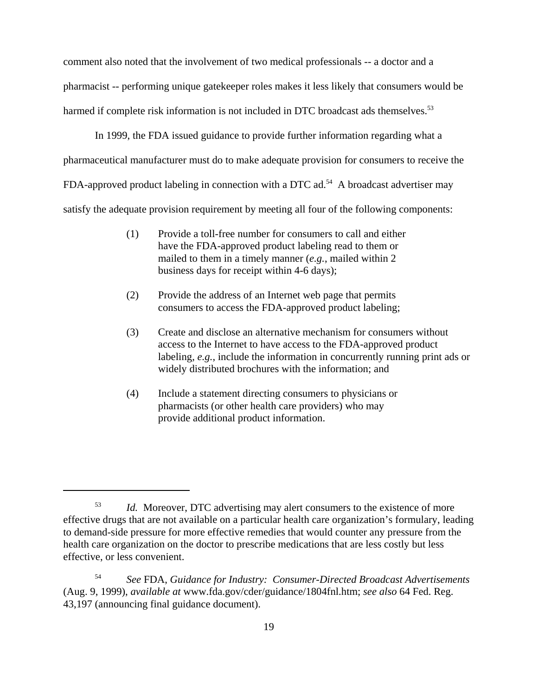comment also noted that the involvement of two medical professionals -- a doctor and a pharmacist -- performing unique gatekeeper roles makes it less likely that consumers would be harmed if complete risk information is not included in DTC broadcast ads themselves.<sup>53</sup>

In 1999, the FDA issued guidance to provide further information regarding what a pharmaceutical manufacturer must do to make adequate provision for consumers to receive the FDA-approved product labeling in connection with a DTC ad.<sup>54</sup> A broadcast advertiser may satisfy the adequate provision requirement by meeting all four of the following components:

- (1) Provide a toll-free number for consumers to call and either have the FDA-approved product labeling read to them or mailed to them in a timely manner (*e.g.*, mailed within 2 business days for receipt within 4-6 days);
- (2) Provide the address of an Internet web page that permits consumers to access the FDA-approved product labeling;
- (3) Create and disclose an alternative mechanism for consumers without access to the Internet to have access to the FDA-approved product labeling, *e.g.*, include the information in concurrently running print ads or widely distributed brochures with the information; and
- (4) Include a statement directing consumers to physicians or pharmacists (or other health care providers) who may provide additional product information.

<sup>&</sup>lt;sup>53</sup> *Id.* Moreover, DTC advertising may alert consumers to the existence of more effective drugs that are not available on a particular health care organization's formulary, leading to demand-side pressure for more effective remedies that would counter any pressure from the health care organization on the doctor to prescribe medications that are less costly but less effective, or less convenient.

<sup>54</sup> *See* FDA, *Guidance for Industry: Consumer-Directed Broadcast Advertisements* (Aug. 9, 1999), *available at* www.fda.gov/cder/guidance/1804fnl.htm; *see also* 64 Fed. Reg. 43,197 (announcing final guidance document).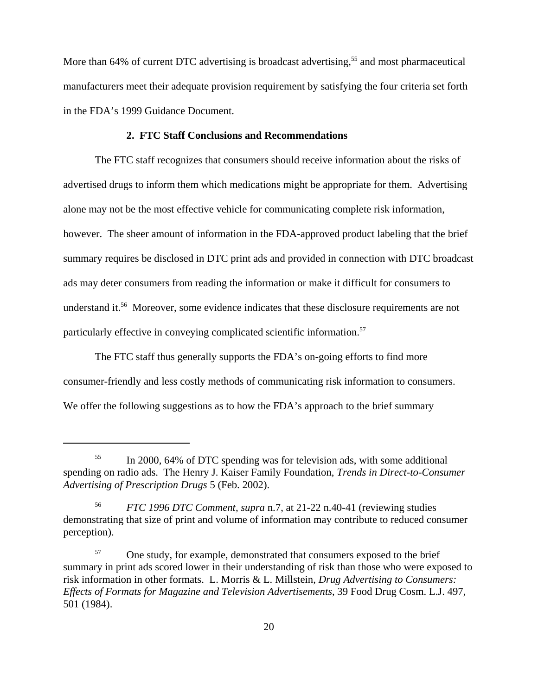More than 64% of current DTC advertising is broadcast advertising,<sup>55</sup> and most pharmaceutical manufacturers meet their adequate provision requirement by satisfying the four criteria set forth in the FDA's 1999 Guidance Document.

# **2. FTC Staff Conclusions and Recommendations**

The FTC staff recognizes that consumers should receive information about the risks of advertised drugs to inform them which medications might be appropriate for them. Advertising alone may not be the most effective vehicle for communicating complete risk information, however. The sheer amount of information in the FDA-approved product labeling that the brief summary requires be disclosed in DTC print ads and provided in connection with DTC broadcast ads may deter consumers from reading the information or make it difficult for consumers to understand it.<sup>56</sup> Moreover, some evidence indicates that these disclosure requirements are not particularly effective in conveying complicated scientific information.57

The FTC staff thus generally supports the FDA's on-going efforts to find more consumer-friendly and less costly methods of communicating risk information to consumers. We offer the following suggestions as to how the FDA's approach to the brief summary

<sup>&</sup>lt;sup>55</sup> In 2000, 64% of DTC spending was for television ads, with some additional spending on radio ads. The Henry J. Kaiser Family Foundation, *Trends in Direct-to-Consumer Advertising of Prescription Drugs* 5 (Feb. 2002).

<sup>56</sup> *FTC 1996 DTC Comment, supra* n.7, at 21-22 n.40-41 (reviewing studies demonstrating that size of print and volume of information may contribute to reduced consumer perception).

<sup>&</sup>lt;sup>57</sup> One study, for example, demonstrated that consumers exposed to the brief summary in print ads scored lower in their understanding of risk than those who were exposed to risk information in other formats. L. Morris & L. Millstein, *Drug Advertising to Consumers: Effects of Formats for Magazine and Television Advertisements*, 39 Food Drug Cosm. L.J. 497, 501 (1984).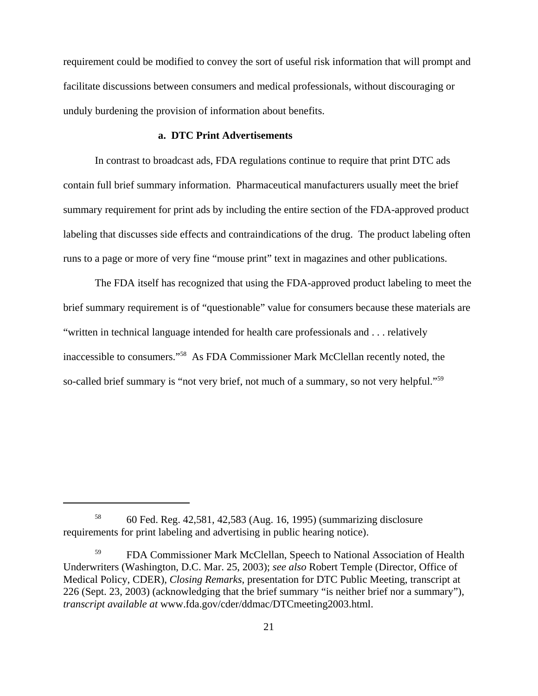requirement could be modified to convey the sort of useful risk information that will prompt and facilitate discussions between consumers and medical professionals, without discouraging or unduly burdening the provision of information about benefits.

# **a. DTC Print Advertisements**

In contrast to broadcast ads, FDA regulations continue to require that print DTC ads contain full brief summary information. Pharmaceutical manufacturers usually meet the brief summary requirement for print ads by including the entire section of the FDA-approved product labeling that discusses side effects and contraindications of the drug. The product labeling often runs to a page or more of very fine "mouse print" text in magazines and other publications.

The FDA itself has recognized that using the FDA-approved product labeling to meet the brief summary requirement is of "questionable" value for consumers because these materials are "written in technical language intended for health care professionals and . . . relatively inaccessible to consumers."58 As FDA Commissioner Mark McClellan recently noted, the so-called brief summary is "not very brief, not much of a summary, so not very helpful."<sup>59</sup>

<sup>58</sup> 60 Fed. Reg. 42,581, 42,583 (Aug. 16, 1995) (summarizing disclosure requirements for print labeling and advertising in public hearing notice).

<sup>59</sup> FDA Commissioner Mark McClellan, Speech to National Association of Health Underwriters (Washington, D.C. Mar. 25, 2003); *see also* Robert Temple (Director, Office of Medical Policy, CDER), *Closing Remarks*, presentation for DTC Public Meeting, transcript at 226 (Sept. 23, 2003) (acknowledging that the brief summary "is neither brief nor a summary"), *transcript available at* www.fda.gov/cder/ddmac/DTCmeeting2003.html.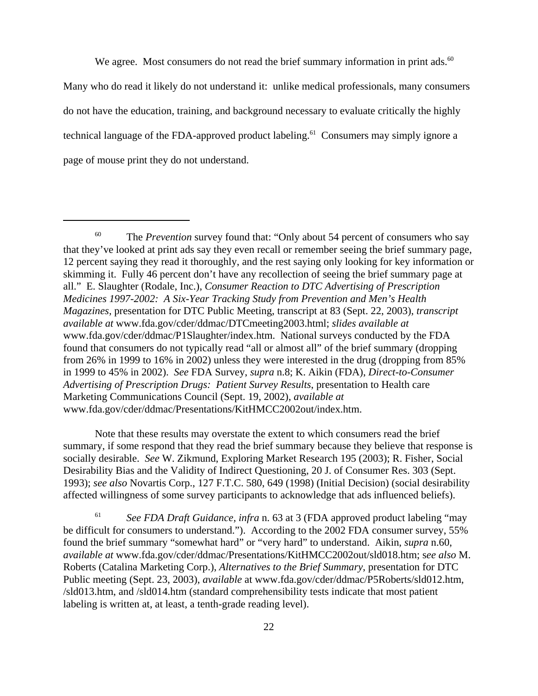We agree. Most consumers do not read the brief summary information in print ads. $60$ Many who do read it likely do not understand it: unlike medical professionals, many consumers do not have the education, training, and background necessary to evaluate critically the highly technical language of the FDA-approved product labeling.<sup>61</sup> Consumers may simply ignore a page of mouse print they do not understand.

Note that these results may overstate the extent to which consumers read the brief summary, if some respond that they read the brief summary because they believe that response is socially desirable. *See* W. Zikmund, Exploring Market Research 195 (2003); R. Fisher, Social Desirability Bias and the Validity of Indirect Questioning, 20 J. of Consumer Res. 303 (Sept. 1993); *see also* Novartis Corp., 127 F.T.C. 580, 649 (1998) (Initial Decision) (social desirability affected willingness of some survey participants to acknowledge that ads influenced beliefs).

<sup>61</sup> *See FDA Draft Guidance, infra* n. 63 at 3 (FDA approved product labeling "may be difficult for consumers to understand."). According to the 2002 FDA consumer survey, 55% found the brief summary "somewhat hard" or "very hard" to understand. Aikin, *supra* n.60, *available at* www.fda.gov/cder/ddmac/Presentations/KitHMCC2002out/sld018.htm; s*ee also* M. Roberts (Catalina Marketing Corp.), *Alternatives to the Brief Summary*, presentation for DTC Public meeting (Sept. 23, 2003), *available* at www.fda.gov/cder/ddmac/P5Roberts/sld012.htm, /sld013.htm, and /sld014.htm (standard comprehensibility tests indicate that most patient labeling is written at, at least, a tenth-grade reading level).

<sup>&</sup>lt;sup>60</sup> The *Prevention* survey found that: "Only about 54 percent of consumers who say that they've looked at print ads say they even recall or remember seeing the brief summary page, 12 percent saying they read it thoroughly, and the rest saying only looking for key information or skimming it. Fully 46 percent don't have any recollection of seeing the brief summary page at all." E. Slaughter (Rodale, Inc.), *Consumer Reaction to DTC Advertising of Prescription Medicines 1997-2002: A Six-Year Tracking Study from Prevention and Men's Health Magazines,* presentation for DTC Public Meeting, transcript at 83 (Sept. 22, 2003), *transcript available at* www.fda.gov/cder/ddmac/DTCmeeting2003.html; *slides available at* www.fda.gov/cder/ddmac/P1Slaughter/index.htm. National surveys conducted by the FDA found that consumers do not typically read "all or almost all" of the brief summary (dropping from 26% in 1999 to 16% in 2002) unless they were interested in the drug (dropping from 85% in 1999 to 45% in 2002). *See* FDA Survey, *supra* n.8; K. Aikin (FDA), *Direct-to-Consumer Advertising of Prescription Drugs: Patient Survey Results*, presentation to Health care Marketing Communications Council (Sept. 19, 2002), *available at* www.fda.gov/cder/ddmac/Presentations/KitHMCC2002out/index.htm.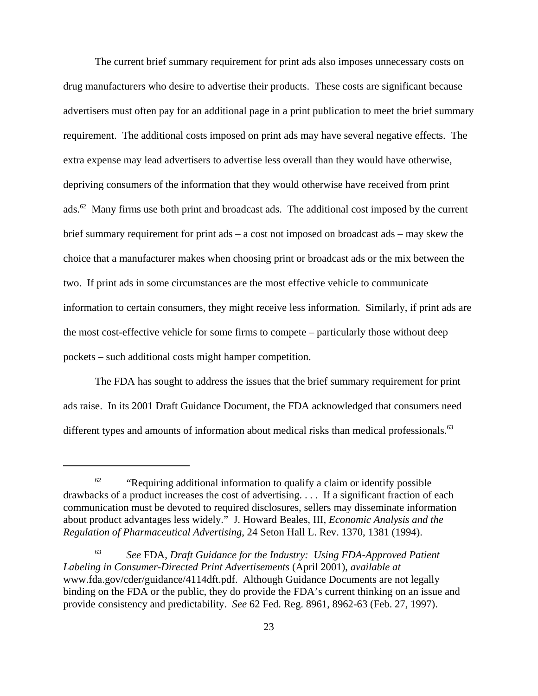The current brief summary requirement for print ads also imposes unnecessary costs on drug manufacturers who desire to advertise their products. These costs are significant because advertisers must often pay for an additional page in a print publication to meet the brief summary requirement. The additional costs imposed on print ads may have several negative effects. The extra expense may lead advertisers to advertise less overall than they would have otherwise, depriving consumers of the information that they would otherwise have received from print ads.<sup>62</sup> Many firms use both print and broadcast ads. The additional cost imposed by the current brief summary requirement for print ads – a cost not imposed on broadcast ads – may skew the choice that a manufacturer makes when choosing print or broadcast ads or the mix between the two. If print ads in some circumstances are the most effective vehicle to communicate information to certain consumers, they might receive less information. Similarly, if print ads are the most cost-effective vehicle for some firms to compete – particularly those without deep pockets – such additional costs might hamper competition.

The FDA has sought to address the issues that the brief summary requirement for print ads raise. In its 2001 Draft Guidance Document, the FDA acknowledged that consumers need different types and amounts of information about medical risks than medical professionals.<sup>63</sup>

 $62$  "Requiring additional information to qualify a claim or identify possible drawbacks of a product increases the cost of advertising. . . . If a significant fraction of each communication must be devoted to required disclosures, sellers may disseminate information about product advantages less widely." J. Howard Beales, III, *Economic Analysis and the Regulation of Pharmaceutical Advertising*, 24 Seton Hall L. Rev. 1370, 1381 (1994).

<sup>63</sup> *See* FDA, *Draft Guidance for the Industry: Using FDA-Approved Patient Labeling in Consumer-Directed Print Advertisements* (April 2001), *available at* www.fda.gov/cder/guidance/4114dft.pdf. Although Guidance Documents are not legally binding on the FDA or the public, they do provide the FDA's current thinking on an issue and provide consistency and predictability. *See* 62 Fed. Reg. 8961, 8962-63 (Feb. 27, 1997).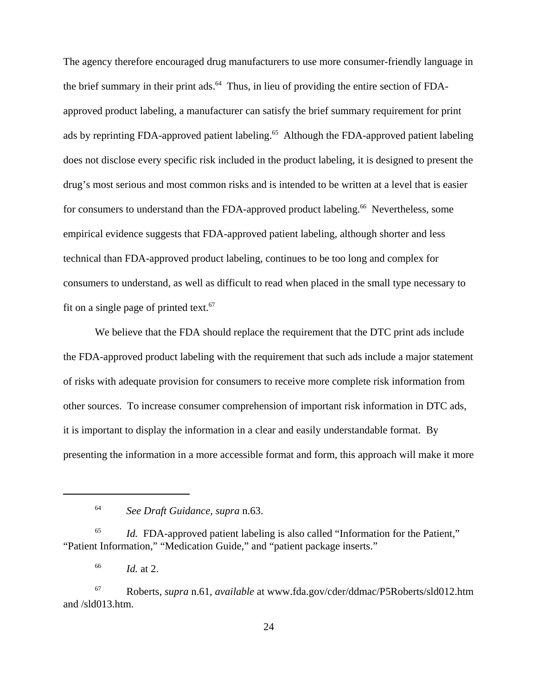The agency therefore encouraged drug manufacturers to use more consumer-friendly language in the brief summary in their print ads.<sup>64</sup> Thus, in lieu of providing the entire section of FDAapproved product labeling, a manufacturer can satisfy the brief summary requirement for print ads by reprinting FDA-approved patient labeling.<sup>65</sup> Although the FDA-approved patient labeling does not disclose every specific risk included in the product labeling, it is designed to present the drug's most serious and most common risks and is intended to be written at a level that is easier for consumers to understand than the FDA-approved product labeling.<sup>66</sup> Nevertheless, some empirical evidence suggests that FDA-approved patient labeling, although shorter and less technical than FDA-approved product labeling, continues to be too long and complex for consumers to understand, as well as difficult to read when placed in the small type necessary to fit on a single page of printed text. $67$ 

We believe that the FDA should replace the requirement that the DTC print ads include the FDA-approved product labeling with the requirement that such ads include a major statement of risks with adequate provision for consumers to receive more complete risk information from other sources. To increase consumer comprehension of important risk information in DTC ads, it is important to display the information in a clear and easily understandable format. By presenting the information in a more accessible format and form, this approach will make it more

<sup>65</sup> *Id.* FDA-approved patient labeling is also called "Information for the Patient," "Patient Information," "Medication Guide," and "patient package inserts."

<sup>66</sup> *Id.* at 2.

<sup>67</sup> Roberts, *supra* n.61, *available* at www.fda.gov/cder/ddmac/P5Roberts/sld012.htm and /sld013.htm.

<sup>64</sup> *See Draft Guidance, supra* n.63.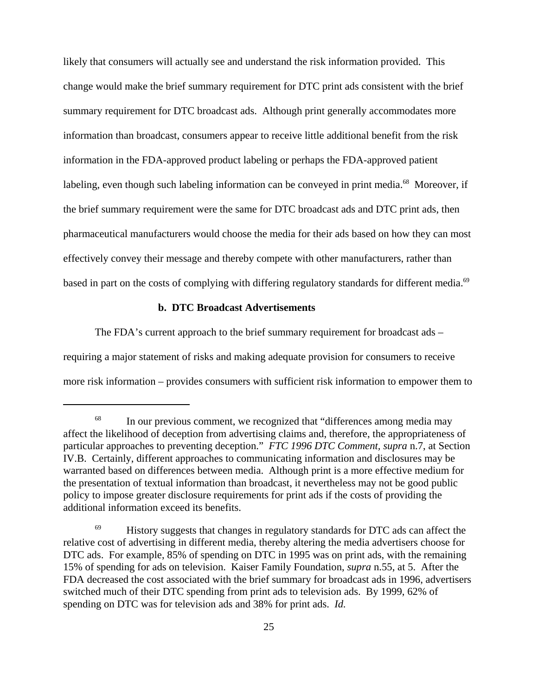likely that consumers will actually see and understand the risk information provided. This change would make the brief summary requirement for DTC print ads consistent with the brief summary requirement for DTC broadcast ads. Although print generally accommodates more information than broadcast, consumers appear to receive little additional benefit from the risk information in the FDA-approved product labeling or perhaps the FDA-approved patient labeling, even though such labeling information can be conveyed in print media.<sup>68</sup> Moreover, if the brief summary requirement were the same for DTC broadcast ads and DTC print ads, then pharmaceutical manufacturers would choose the media for their ads based on how they can most effectively convey their message and thereby compete with other manufacturers, rather than based in part on the costs of complying with differing regulatory standards for different media.<sup>69</sup>

# **b. DTC Broadcast Advertisements**

The FDA's current approach to the brief summary requirement for broadcast ads – requiring a major statement of risks and making adequate provision for consumers to receive more risk information – provides consumers with sufficient risk information to empower them to

<sup>&</sup>lt;sup>68</sup> In our previous comment, we recognized that "differences among media may affect the likelihood of deception from advertising claims and, therefore, the appropriateness of particular approaches to preventing deception." *FTC 1996 DTC Comment, supra* n.7, at Section IV.B. Certainly, different approaches to communicating information and disclosures may be warranted based on differences between media. Although print is a more effective medium for the presentation of textual information than broadcast, it nevertheless may not be good public policy to impose greater disclosure requirements for print ads if the costs of providing the additional information exceed its benefits.

 $^{69}$  History suggests that changes in regulatory standards for DTC ads can affect the relative cost of advertising in different media, thereby altering the media advertisers choose for DTC ads. For example, 85% of spending on DTC in 1995 was on print ads, with the remaining 15% of spending for ads on television. Kaiser Family Foundation, *supra* n.55, at 5. After the FDA decreased the cost associated with the brief summary for broadcast ads in 1996, advertisers switched much of their DTC spending from print ads to television ads. By 1999, 62% of spending on DTC was for television ads and 38% for print ads. *Id.*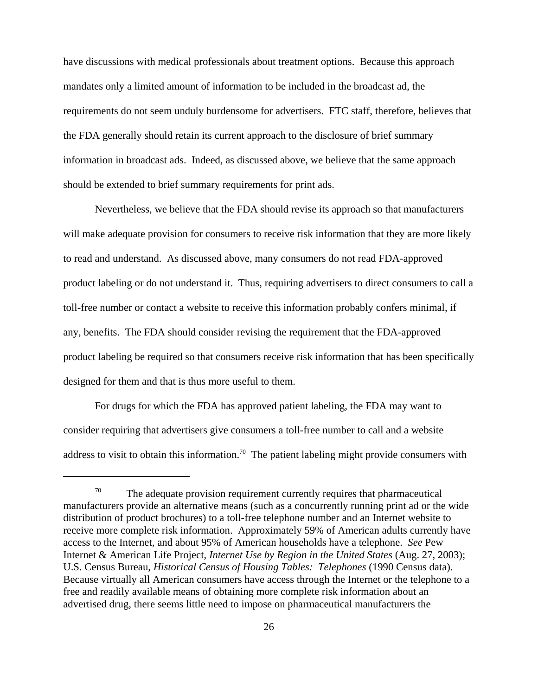have discussions with medical professionals about treatment options. Because this approach mandates only a limited amount of information to be included in the broadcast ad, the requirements do not seem unduly burdensome for advertisers. FTC staff, therefore, believes that the FDA generally should retain its current approach to the disclosure of brief summary information in broadcast ads. Indeed, as discussed above, we believe that the same approach should be extended to brief summary requirements for print ads.

Nevertheless, we believe that the FDA should revise its approach so that manufacturers will make adequate provision for consumers to receive risk information that they are more likely to read and understand. As discussed above, many consumers do not read FDA-approved product labeling or do not understand it. Thus, requiring advertisers to direct consumers to call a toll-free number or contact a website to receive this information probably confers minimal, if any, benefits. The FDA should consider revising the requirement that the FDA-approved product labeling be required so that consumers receive risk information that has been specifically designed for them and that is thus more useful to them.

For drugs for which the FDA has approved patient labeling, the FDA may want to consider requiring that advertisers give consumers a toll-free number to call and a website address to visit to obtain this information.<sup>70</sup> The patient labeling might provide consumers with

 $70$  The adequate provision requirement currently requires that pharmaceutical manufacturers provide an alternative means (such as a concurrently running print ad or the wide distribution of product brochures) to a toll-free telephone number and an Internet website to receive more complete risk information. Approximately 59% of American adults currently have access to the Internet, and about 95% of American households have a telephone. *See* Pew Internet & American Life Project, *Internet Use by Region in the United States* (Aug. 27, 2003); U.S. Census Bureau, *Historical Census of Housing Tables: Telephones* (1990 Census data). Because virtually all American consumers have access through the Internet or the telephone to a free and readily available means of obtaining more complete risk information about an advertised drug, there seems little need to impose on pharmaceutical manufacturers the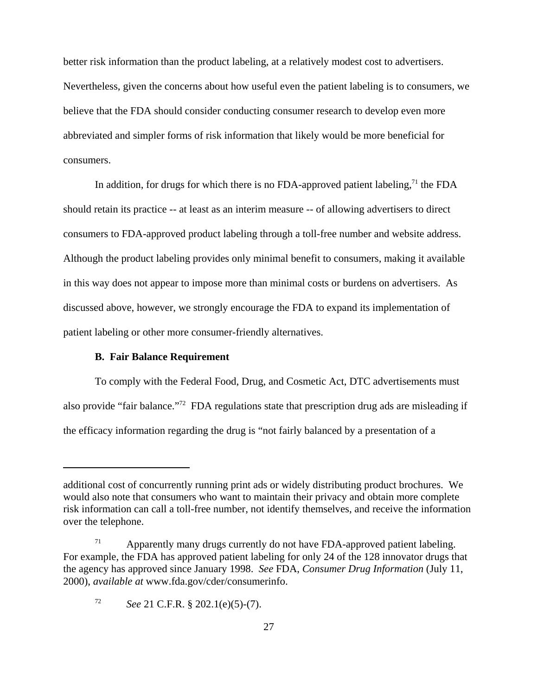better risk information than the product labeling, at a relatively modest cost to advertisers. Nevertheless, given the concerns about how useful even the patient labeling is to consumers, we believe that the FDA should consider conducting consumer research to develop even more abbreviated and simpler forms of risk information that likely would be more beneficial for consumers.

In addition, for drugs for which there is no FDA-approved patient labeling,<sup>71</sup> the FDA should retain its practice -- at least as an interim measure -- of allowing advertisers to direct consumers to FDA-approved product labeling through a toll-free number and website address. Although the product labeling provides only minimal benefit to consumers, making it available in this way does not appear to impose more than minimal costs or burdens on advertisers. As discussed above, however, we strongly encourage the FDA to expand its implementation of patient labeling or other more consumer-friendly alternatives.

### **B. Fair Balance Requirement**

To comply with the Federal Food, Drug, and Cosmetic Act, DTC advertisements must also provide "fair balance."72 FDA regulations state that prescription drug ads are misleading if the efficacy information regarding the drug is "not fairly balanced by a presentation of a

additional cost of concurrently running print ads or widely distributing product brochures. We would also note that consumers who want to maintain their privacy and obtain more complete risk information can call a toll-free number, not identify themselves, and receive the information over the telephone.

 $71$  Apparently many drugs currently do not have FDA-approved patient labeling. For example, the FDA has approved patient labeling for only 24 of the 128 innovator drugs that the agency has approved since January 1998. *See* FDA, *Consumer Drug Information* (July 11, 2000), *available at* www.fda.gov/cder/consumerinfo.

<sup>72</sup> *See* 21 C.F.R. § 202.1(e)(5)-(7).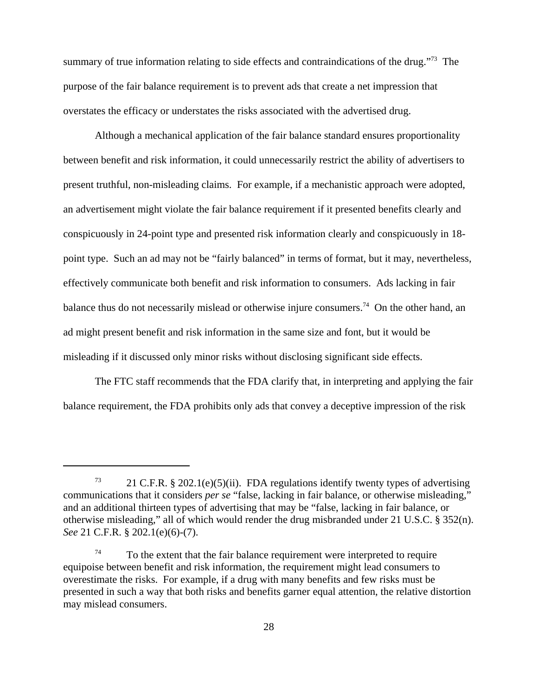summary of true information relating to side effects and contraindications of the drug."<sup>73</sup> The purpose of the fair balance requirement is to prevent ads that create a net impression that overstates the efficacy or understates the risks associated with the advertised drug.

Although a mechanical application of the fair balance standard ensures proportionality between benefit and risk information, it could unnecessarily restrict the ability of advertisers to present truthful, non-misleading claims. For example, if a mechanistic approach were adopted, an advertisement might violate the fair balance requirement if it presented benefits clearly and conspicuously in 24-point type and presented risk information clearly and conspicuously in 18 point type. Such an ad may not be "fairly balanced" in terms of format, but it may, nevertheless, effectively communicate both benefit and risk information to consumers. Ads lacking in fair balance thus do not necessarily mislead or otherwise injure consumers.<sup>74</sup> On the other hand, an ad might present benefit and risk information in the same size and font, but it would be misleading if it discussed only minor risks without disclosing significant side effects.

The FTC staff recommends that the FDA clarify that, in interpreting and applying the fair balance requirement, the FDA prohibits only ads that convey a deceptive impression of the risk

<sup>&</sup>lt;sup>73</sup> 21 C.F.R. § 202.1(e)(5)(ii). FDA regulations identify twenty types of advertising communications that it considers *per se* "false, lacking in fair balance, or otherwise misleading," and an additional thirteen types of advertising that may be "false, lacking in fair balance, or otherwise misleading," all of which would render the drug misbranded under 21 U.S.C. § 352(n). *See* 21 C.F.R. § 202.1(e)(6)-(7).

 $74$  To the extent that the fair balance requirement were interpreted to require equipoise between benefit and risk information, the requirement might lead consumers to overestimate the risks. For example, if a drug with many benefits and few risks must be presented in such a way that both risks and benefits garner equal attention, the relative distortion may mislead consumers.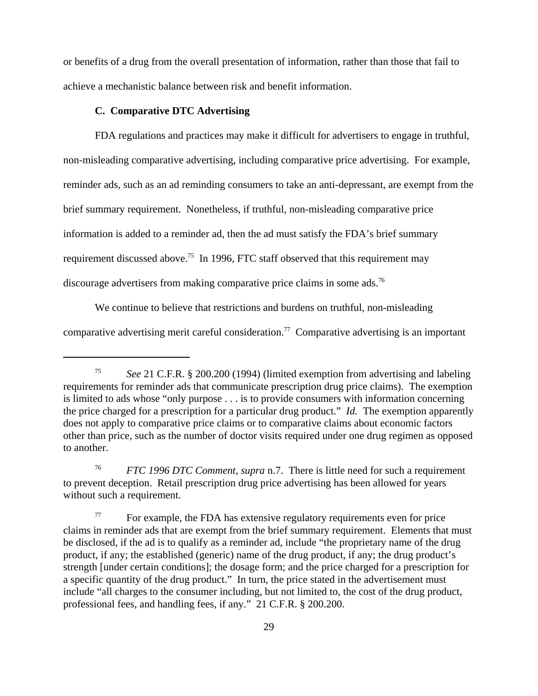or benefits of a drug from the overall presentation of information, rather than those that fail to achieve a mechanistic balance between risk and benefit information.

# **C. Comparative DTC Advertising**

FDA regulations and practices may make it difficult for advertisers to engage in truthful, non-misleading comparative advertising, including comparative price advertising. For example, reminder ads, such as an ad reminding consumers to take an anti-depressant, are exempt from the brief summary requirement. Nonetheless, if truthful, non-misleading comparative price information is added to a reminder ad, then the ad must satisfy the FDA's brief summary requirement discussed above.<sup>75</sup> In 1996, FTC staff observed that this requirement may discourage advertisers from making comparative price claims in some ads.76

We continue to believe that restrictions and burdens on truthful, non-misleading comparative advertising merit careful consideration.<sup>77</sup> Comparative advertising is an important

<sup>75</sup> *See* 21 C.F.R. § 200.200 (1994) (limited exemption from advertising and labeling requirements for reminder ads that communicate prescription drug price claims). The exemption is limited to ads whose "only purpose . . . is to provide consumers with information concerning the price charged for a prescription for a particular drug product." *Id.* The exemption apparently does not apply to comparative price claims or to comparative claims about economic factors other than price, such as the number of doctor visits required under one drug regimen as opposed to another.

<sup>76</sup> *FTC 1996 DTC Comment, supra* n.7. There is little need for such a requirement to prevent deception. Retail prescription drug price advertising has been allowed for years without such a requirement.

 $77$  For example, the FDA has extensive regulatory requirements even for price claims in reminder ads that are exempt from the brief summary requirement. Elements that must be disclosed, if the ad is to qualify as a reminder ad, include "the proprietary name of the drug product, if any; the established (generic) name of the drug product, if any; the drug product's strength [under certain conditions]; the dosage form; and the price charged for a prescription for a specific quantity of the drug product." In turn, the price stated in the advertisement must include "all charges to the consumer including, but not limited to, the cost of the drug product, professional fees, and handling fees, if any." 21 C.F.R. § 200.200.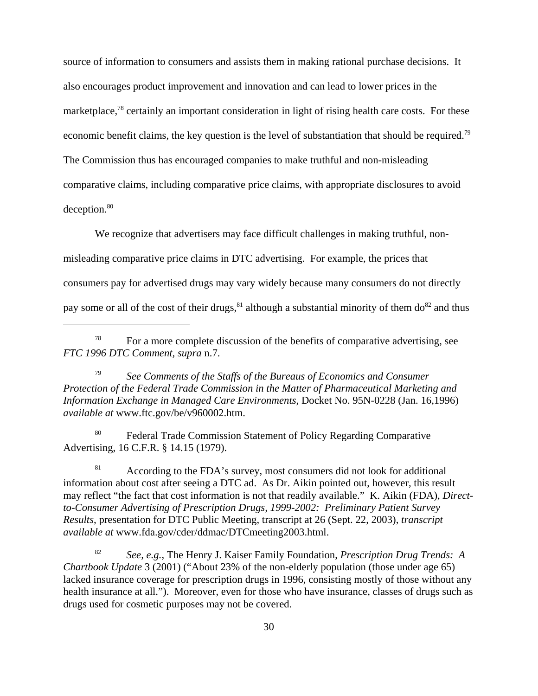source of information to consumers and assists them in making rational purchase decisions. It also encourages product improvement and innovation and can lead to lower prices in the marketplace,<sup>78</sup> certainly an important consideration in light of rising health care costs. For these economic benefit claims, the key question is the level of substantiation that should be required.<sup>79</sup> The Commission thus has encouraged companies to make truthful and non-misleading comparative claims, including comparative price claims, with appropriate disclosures to avoid deception.<sup>80</sup>

We recognize that advertisers may face difficult challenges in making truthful, nonmisleading comparative price claims in DTC advertising. For example, the prices that consumers pay for advertised drugs may vary widely because many consumers do not directly pay some or all of the cost of their drugs,  $81$  although a substantial minority of them do  $82$  and thus

<sup>79</sup> *See Comments of the Staffs of the Bureaus of Economics and Consumer Protection of the Federal Trade Commission in the Matter of Pharmaceutical Marketing and Information Exchange in Managed Care Environments*, Docket No. 95N-0228 (Jan. 16,1996) *available at* www.ftc.gov/be/v960002.htm.

<sup>80</sup> Federal Trade Commission Statement of Policy Regarding Comparative Advertising, 16 C.F.R. § 14.15 (1979).

<sup>81</sup> According to the FDA's survey, most consumers did not look for additional information about cost after seeing a DTC ad. As Dr. Aikin pointed out, however, this result may reflect "the fact that cost information is not that readily available." K. Aikin (FDA), *Directto-Consumer Advertising of Prescription Drugs, 1999-2002: Preliminary Patient Survey Results*, presentation for DTC Public Meeting, transcript at 26 (Sept. 22, 2003), *transcript available at* www.fda.gov/cder/ddmac/DTCmeeting2003.html.

<sup>82</sup> *See, e.g.*, The Henry J. Kaiser Family Foundation, *Prescription Drug Trends: A Chartbook Update* 3 (2001) ("About 23% of the non-elderly population (those under age 65) lacked insurance coverage for prescription drugs in 1996, consisting mostly of those without any health insurance at all."). Moreover, even for those who have insurance, classes of drugs such as drugs used for cosmetic purposes may not be covered.

 $78$  For a more complete discussion of the benefits of comparative advertising, see *FTC 1996 DTC Comment, supra* n.7.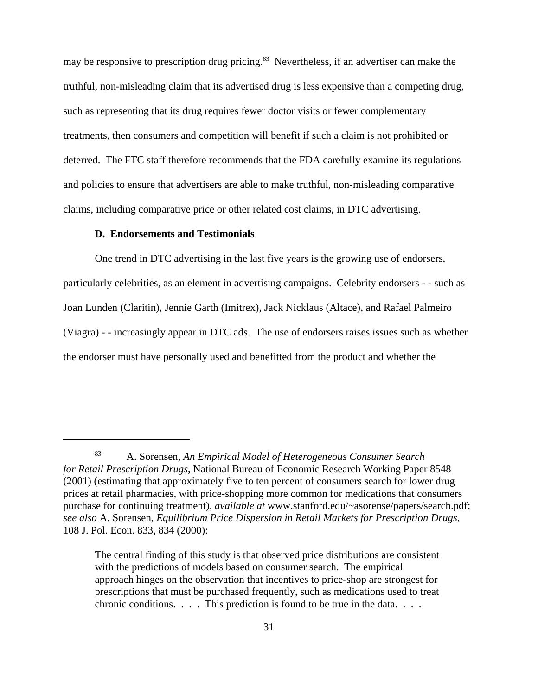may be responsive to prescription drug pricing.<sup>83</sup> Nevertheless, if an advertiser can make the truthful, non-misleading claim that its advertised drug is less expensive than a competing drug, such as representing that its drug requires fewer doctor visits or fewer complementary treatments, then consumers and competition will benefit if such a claim is not prohibited or deterred. The FTC staff therefore recommends that the FDA carefully examine its regulations and policies to ensure that advertisers are able to make truthful, non-misleading comparative claims, including comparative price or other related cost claims, in DTC advertising.

# **D. Endorsements and Testimonials**

One trend in DTC advertising in the last five years is the growing use of endorsers, particularly celebrities, as an element in advertising campaigns. Celebrity endorsers - - such as Joan Lunden (Claritin), Jennie Garth (Imitrex), Jack Nicklaus (Altace), and Rafael Palmeiro (Viagra) - - increasingly appear in DTC ads. The use of endorsers raises issues such as whether the endorser must have personally used and benefitted from the product and whether the

<sup>83</sup> A. Sorensen, *An Empirical Model of Heterogeneous Consumer Search for Retail Prescription Drugs*, National Bureau of Economic Research Working Paper 8548 (2001) (estimating that approximately five to ten percent of consumers search for lower drug prices at retail pharmacies, with price-shopping more common for medications that consumers purchase for continuing treatment), *available at* www.stanford.edu/~asorense/papers/search.pdf; *see also* A. Sorensen, *Equilibrium Price Dispersion in Retail Markets for Prescription Drugs*, 108 J. Pol. Econ. 833, 834 (2000):

The central finding of this study is that observed price distributions are consistent with the predictions of models based on consumer search. The empirical approach hinges on the observation that incentives to price-shop are strongest for prescriptions that must be purchased frequently, such as medications used to treat chronic conditions. . . . This prediction is found to be true in the data. . . .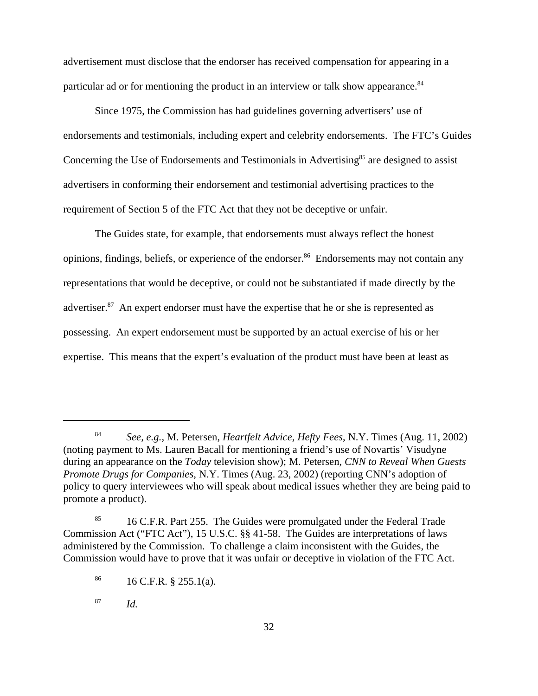advertisement must disclose that the endorser has received compensation for appearing in a particular ad or for mentioning the product in an interview or talk show appearance.<sup>84</sup>

Since 1975, the Commission has had guidelines governing advertisers' use of endorsements and testimonials, including expert and celebrity endorsements. The FTC's Guides Concerning the Use of Endorsements and Testimonials in Advertising<sup>85</sup> are designed to assist advertisers in conforming their endorsement and testimonial advertising practices to the requirement of Section 5 of the FTC Act that they not be deceptive or unfair.

The Guides state, for example, that endorsements must always reflect the honest opinions, findings, beliefs, or experience of the endorser.<sup>86</sup> Endorsements may not contain any representations that would be deceptive, or could not be substantiated if made directly by the advertiser.<sup>87</sup> An expert endorser must have the expertise that he or she is represented as possessing. An expert endorsement must be supported by an actual exercise of his or her expertise. This means that the expert's evaluation of the product must have been at least as

<sup>87</sup> *Id.*

<sup>84</sup> *See, e.g.,* M. Petersen, *Heartfelt Advice, Hefty Fees*, N.Y. Times (Aug. 11, 2002) (noting payment to Ms. Lauren Bacall for mentioning a friend's use of Novartis' Visudyne during an appearance on the *Today* television show); M. Petersen, *CNN to Reveal When Guests Promote Drugs for Companies*, N.Y. Times (Aug. 23, 2002) (reporting CNN's adoption of policy to query interviewees who will speak about medical issues whether they are being paid to promote a product).

<sup>&</sup>lt;sup>85</sup> 16 C.F.R. Part 255. The Guides were promulgated under the Federal Trade Commission Act ("FTC Act"), 15 U.S.C. §§ 41-58. The Guides are interpretations of laws administered by the Commission. To challenge a claim inconsistent with the Guides, the Commission would have to prove that it was unfair or deceptive in violation of the FTC Act.

 $^{86}$  16 C.F.R. § 255.1(a).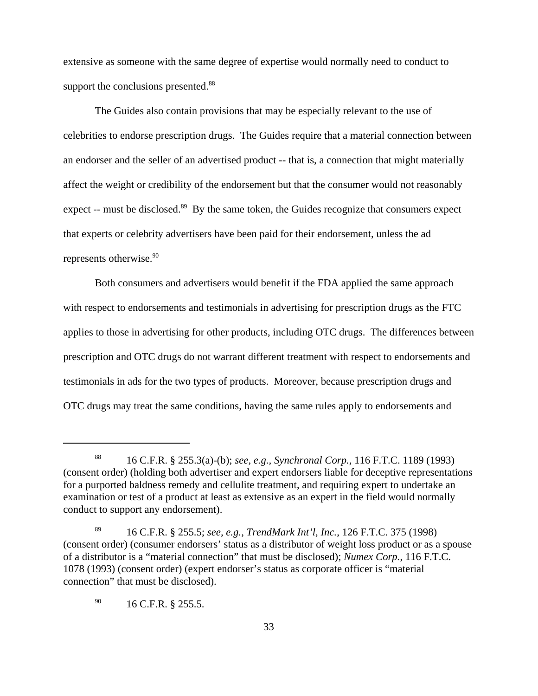extensive as someone with the same degree of expertise would normally need to conduct to support the conclusions presented.<sup>88</sup>

The Guides also contain provisions that may be especially relevant to the use of celebrities to endorse prescription drugs. The Guides require that a material connection between an endorser and the seller of an advertised product -- that is, a connection that might materially affect the weight or credibility of the endorsement but that the consumer would not reasonably expect -- must be disclosed.<sup>89</sup> By the same token, the Guides recognize that consumers expect that experts or celebrity advertisers have been paid for their endorsement, unless the ad represents otherwise.<sup>90</sup>

Both consumers and advertisers would benefit if the FDA applied the same approach with respect to endorsements and testimonials in advertising for prescription drugs as the FTC applies to those in advertising for other products, including OTC drugs. The differences between prescription and OTC drugs do not warrant different treatment with respect to endorsements and testimonials in ads for the two types of products. Moreover, because prescription drugs and OTC drugs may treat the same conditions, having the same rules apply to endorsements and

<sup>88</sup> 16 C.F.R. § 255.3(a)-(b); *see, e.g., Synchronal Corp.*, 116 F.T.C. 1189 (1993) (consent order) (holding both advertiser and expert endorsers liable for deceptive representations for a purported baldness remedy and cellulite treatment, and requiring expert to undertake an examination or test of a product at least as extensive as an expert in the field would normally conduct to support any endorsement).

<sup>89</sup> 16 C.F.R. § 255.5; *see, e.g., TrendMark Int'l, Inc.*, 126 F.T.C. 375 (1998) (consent order) (consumer endorsers' status as a distributor of weight loss product or as a spouse of a distributor is a "material connection" that must be disclosed); *Numex Corp.*, 116 F.T.C. 1078 (1993) (consent order) (expert endorser's status as corporate officer is "material connection" that must be disclosed).

 $^{90}$  16 C.F.R. § 255.5.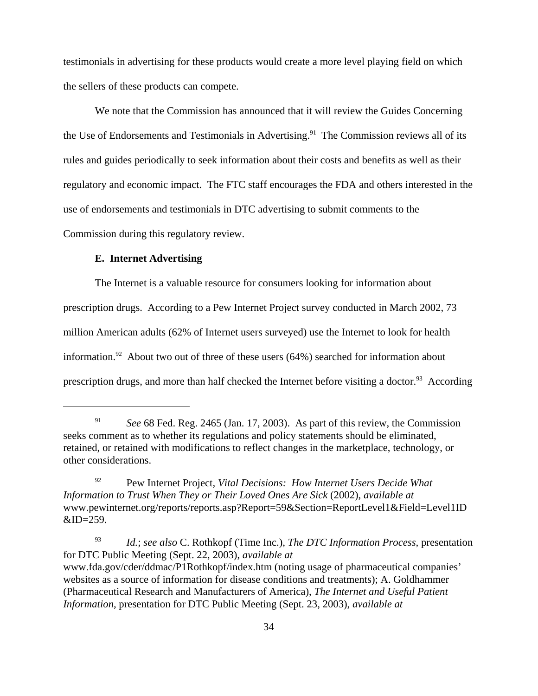testimonials in advertising for these products would create a more level playing field on which the sellers of these products can compete.

 We note that the Commission has announced that it will review the Guides Concerning the Use of Endorsements and Testimonials in Advertising.<sup>91</sup> The Commission reviews all of its rules and guides periodically to seek information about their costs and benefits as well as their regulatory and economic impact. The FTC staff encourages the FDA and others interested in the use of endorsements and testimonials in DTC advertising to submit comments to the Commission during this regulatory review.

### **E. Internet Advertising**

The Internet is a valuable resource for consumers looking for information about prescription drugs. According to a Pew Internet Project survey conducted in March 2002, 73 million American adults (62% of Internet users surveyed) use the Internet to look for health information.<sup>92</sup> About two out of three of these users (64%) searched for information about prescription drugs, and more than half checked the Internet before visiting a doctor.<sup>93</sup> According

<sup>91</sup> *See* 68 Fed. Reg. 2465 (Jan. 17, 2003). As part of this review, the Commission seeks comment as to whether its regulations and policy statements should be eliminated, retained, or retained with modifications to reflect changes in the marketplace, technology, or other considerations.

<sup>92</sup> Pew Internet Project*, Vital Decisions: How Internet Users Decide What Information to Trust When They or Their Loved Ones Are Sick* (2002), *available at* www.pewinternet.org/reports/reports.asp?Report=59&Section=ReportLevel1&Field=Level1ID  $&ID=259.$ 

<sup>93</sup> *Id.*; *see also* C. Rothkopf (Time Inc.), *The DTC Information Process*, presentation for DTC Public Meeting (Sept. 22, 2003), *available at* www.fda.gov/cder/ddmac/P1Rothkopf/index.htm (noting usage of pharmaceutical companies' websites as a source of information for disease conditions and treatments); A. Goldhammer (Pharmaceutical Research and Manufacturers of America), *The Internet and Useful Patient Information*, presentation for DTC Public Meeting (Sept. 23, 2003), *available at*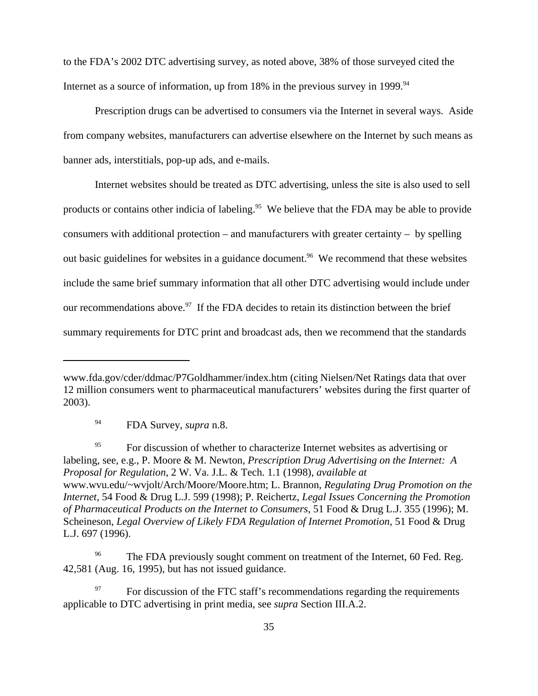to the FDA's 2002 DTC advertising survey, as noted above, 38% of those surveyed cited the Internet as a source of information, up from  $18\%$  in the previous survey in  $1999$ .<sup>94</sup>

Prescription drugs can be advertised to consumers via the Internet in several ways. Aside from company websites, manufacturers can advertise elsewhere on the Internet by such means as banner ads, interstitials, pop-up ads, and e-mails.

Internet websites should be treated as DTC advertising, unless the site is also used to sell products or contains other indicia of labeling.<sup>95</sup> We believe that the FDA may be able to provide consumers with additional protection – and manufacturers with greater certainty – by spelling out basic guidelines for websites in a guidance document.<sup>96</sup> We recommend that these websites include the same brief summary information that all other DTC advertising would include under our recommendations above.<sup>97</sup> If the FDA decides to retain its distinction between the brief summary requirements for DTC print and broadcast ads, then we recommend that the standards

<sup>95</sup> For discussion of whether to characterize Internet websites as advertising or labeling, see, e.g., P. Moore & M. Newton, *Prescription Drug Advertising on the Internet: A Proposal for Regulation*, 2 W. Va. J.L. & Tech. 1.1 (1998), *available at* www.wvu.edu/~wvjolt/Arch/Moore/Moore.htm; L. Brannon, *Regulating Drug Promotion on the Internet*, 54 Food & Drug L.J. 599 (1998); P. Reichertz, *Legal Issues Concerning the Promotion of Pharmaceutical Products on the Internet to Consumers*, 51 Food & Drug L.J. 355 (1996); M. Scheineson, *Legal Overview of Likely FDA Regulation of Internet Promotion*, 51 Food & Drug L.J. 697 (1996).

www.fda.gov/cder/ddmac/P7Goldhammer/index.htm (citing Nielsen/Net Ratings data that over 12 million consumers went to pharmaceutical manufacturers' websites during the first quarter of 2003).

<sup>94</sup> FDA Survey, *supra* n.8.

<sup>&</sup>lt;sup>96</sup> The FDA previously sought comment on treatment of the Internet, 60 Fed. Reg. 42,581 (Aug. 16, 1995), but has not issued guidance.

<sup>97</sup> For discussion of the FTC staff's recommendations regarding the requirements applicable to DTC advertising in print media, see *supra* Section III.A.2.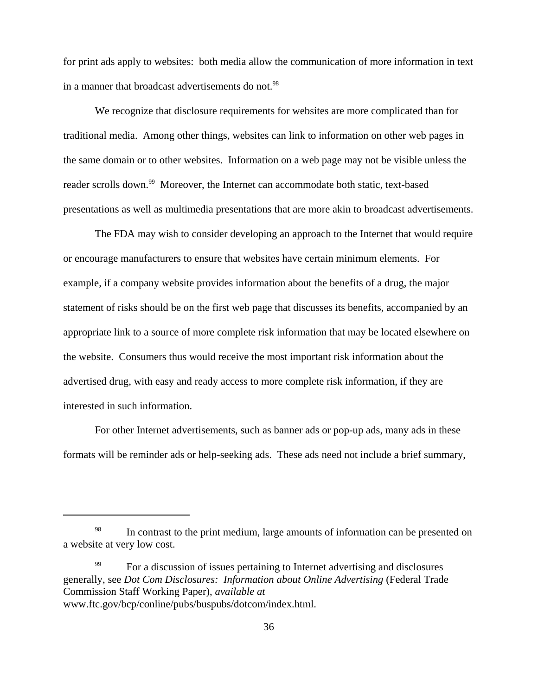for print ads apply to websites: both media allow the communication of more information in text in a manner that broadcast advertisements do not.<sup>98</sup>

We recognize that disclosure requirements for websites are more complicated than for traditional media. Among other things, websites can link to information on other web pages in the same domain or to other websites. Information on a web page may not be visible unless the reader scrolls down.<sup>99</sup> Moreover, the Internet can accommodate both static, text-based presentations as well as multimedia presentations that are more akin to broadcast advertisements.

The FDA may wish to consider developing an approach to the Internet that would require or encourage manufacturers to ensure that websites have certain minimum elements. For example, if a company website provides information about the benefits of a drug, the major statement of risks should be on the first web page that discusses its benefits, accompanied by an appropriate link to a source of more complete risk information that may be located elsewhere on the website. Consumers thus would receive the most important risk information about the advertised drug, with easy and ready access to more complete risk information, if they are interested in such information.

For other Internet advertisements, such as banner ads or pop-up ads, many ads in these formats will be reminder ads or help-seeking ads. These ads need not include a brief summary,

<sup>&</sup>lt;sup>98</sup> In contrast to the print medium, large amounts of information can be presented on a website at very low cost.

<sup>&</sup>lt;sup>99</sup> For a discussion of issues pertaining to Internet advertising and disclosures generally, see *Dot Com Disclosures: Information about Online Advertising* (Federal Trade Commission Staff Working Paper), *available at* www.ftc.gov/bcp/conline/pubs/buspubs/dotcom/index.html.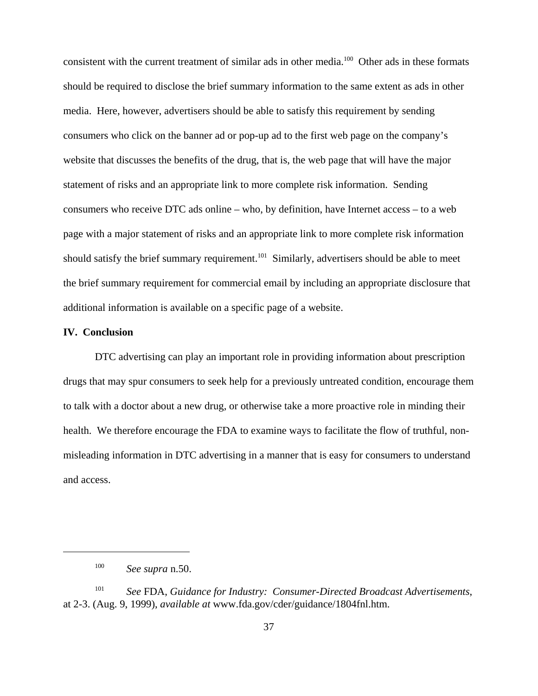consistent with the current treatment of similar ads in other media.100 Other ads in these formats should be required to disclose the brief summary information to the same extent as ads in other media. Here, however, advertisers should be able to satisfy this requirement by sending consumers who click on the banner ad or pop-up ad to the first web page on the company's website that discusses the benefits of the drug, that is, the web page that will have the major statement of risks and an appropriate link to more complete risk information. Sending consumers who receive DTC ads online – who, by definition, have Internet access – to a web page with a major statement of risks and an appropriate link to more complete risk information should satisfy the brief summary requirement.<sup>101</sup> Similarly, advertisers should be able to meet the brief summary requirement for commercial email by including an appropriate disclosure that additional information is available on a specific page of a website.

### **IV. Conclusion**

DTC advertising can play an important role in providing information about prescription drugs that may spur consumers to seek help for a previously untreated condition, encourage them to talk with a doctor about a new drug, or otherwise take a more proactive role in minding their health. We therefore encourage the FDA to examine ways to facilitate the flow of truthful, nonmisleading information in DTC advertising in a manner that is easy for consumers to understand and access.

<sup>100</sup> *See supra* n.50.

<sup>101</sup> *See* FDA, *Guidance for Industry: Consumer-Directed Broadcast Advertisements*, at 2-3. (Aug. 9, 1999), *available at* www.fda.gov/cder/guidance/1804fnl.htm.